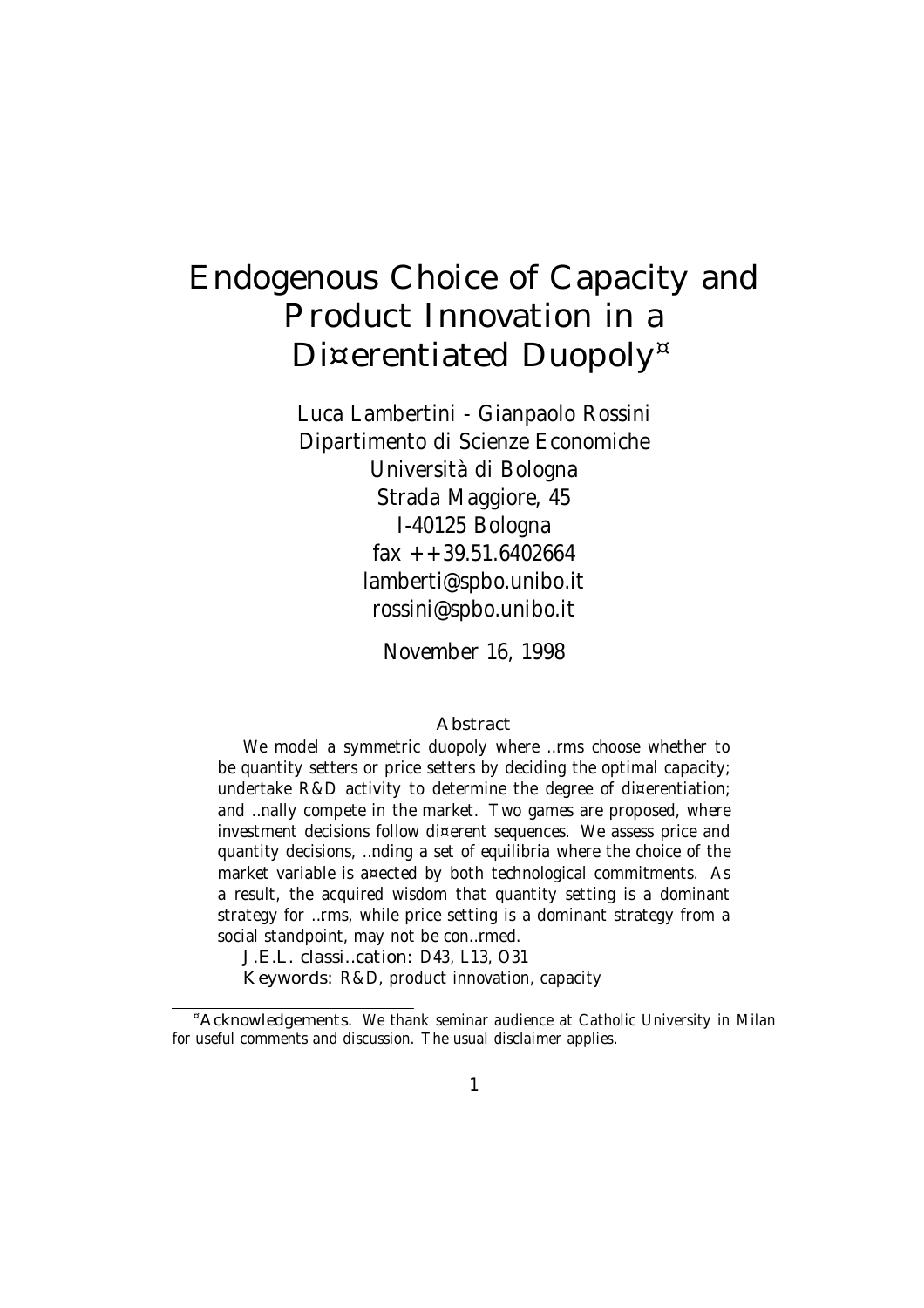# Endogenous Choice of Capacity and Product Innovation in a Di¤erentiated Duopoly<sup>¤</sup>

Luca Lambertini - Gianpaolo Rossini Dipartimento di Scienze Economiche Università di Bologna Strada Maggiore, 45 I-40125 Bologna  $\text{fax } + +39.51.6402664$ lamberti@spbo.unibo.it rossini@spbo.unibo.it

November 16, 1998

#### Abstract

We model a symmetric duopoly where …rms choose whether to be quantity setters or price setters by deciding the optimal capacity; undertake R&D activity to determine the degree of di¤erentiation; and …nally compete in the market. Two games are proposed, where investment decisions follow di¤erent sequences. We assess price and quantity decisions, …nding a set of equilibria where the choice of the market variable is a¤ected by both technological commitments. As a result, the acquired wisdom that quantity setting is a dominant strategy for …rms, while price setting is a dominant strategy from a social standpoint, may not be con…rmed.

J.E.L. classi…cation: D43, L13, O31

Keywords: R&D, product innovation, capacity

<sup>¤</sup>Acknowledgements. We thank seminar audience at Catholic University in Milan for useful comments and discussion. The usual disclaimer applies.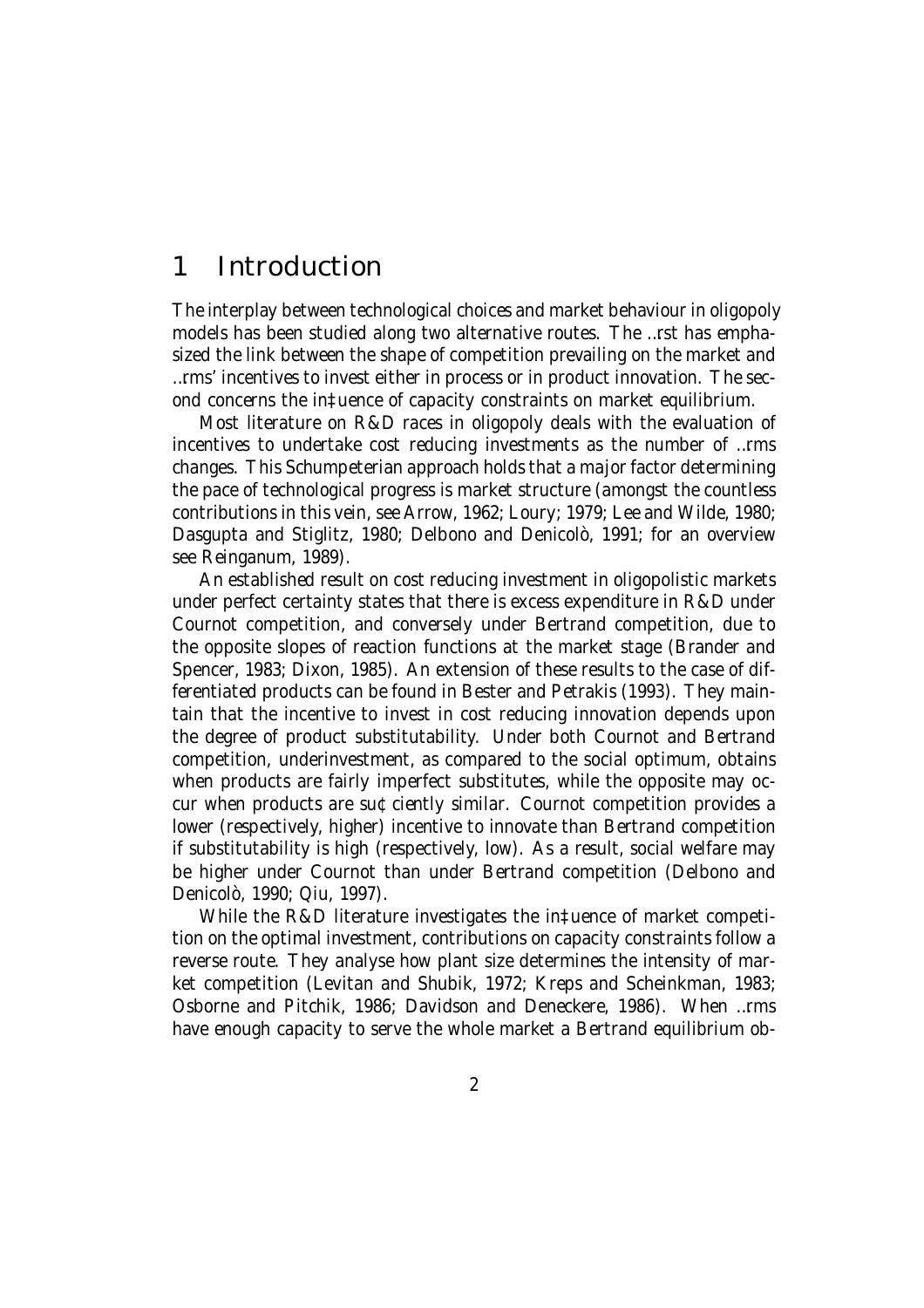### 1 Introduction

The interplay between technological choices and market behaviour in oligopoly models has been studied along two alternative routes. The …rst has emphasized the link between the shape of competition prevailing on the market and …rms' incentives to invest either in process or in product innovation. The second concerns the in‡uence of capacity constraints on market equilibrium.

Most literature on R&D races in oligopoly deals with the evaluation of incentives to undertake cost reducing investments as the number of …rms changes. This Schumpeterian approach holds that a major factor determining the pace of technological progress is market structure (amongst the countless contributions in this vein, see Arrow, 1962; Loury; 1979; Lee and Wilde, 1980; Dasgupta and Stiglitz, 1980; Delbono and Denicolò, 1991; for an overview see Reinganum, 1989).

An established result on cost reducing investment in oligopolistic markets under perfect certainty states that there is excess expenditure in R&D under Cournot competition, and conversely under Bertrand competition, due to the opposite slopes of reaction functions at the market stage (Brander and Spencer, 1983; Dixon, 1985). An extension of these results to the case of differentiated products can be found in Bester and Petrakis (1993). They maintain that the incentive to invest in cost reducing innovation depends upon the degree of product substitutability. Under both Cournot and Bertrand competition, underinvestment, as compared to the social optimum, obtains when products are fairly imperfect substitutes, while the opposite may occur when products are su¢ciently similar. Cournot competition provides a lower (respectively, higher) incentive to innovate than Bertrand competition if substitutability is high (respectively, low). As a result, social welfare may be higher under Cournot than under Bertrand competition (Delbono and Denicolò, 1990; Qiu, 1997).

While the R&D literature investigates the in‡uence of market competition on the optimal investment, contributions on capacity constraints follow a reverse route. They analyse how plant size determines the intensity of market competition (Levitan and Shubik, 1972; Kreps and Scheinkman, 1983; Osborne and Pitchik, 1986; Davidson and Deneckere, 1986). When …rms have enough capacity to serve the whole market a Bertrand equilibrium ob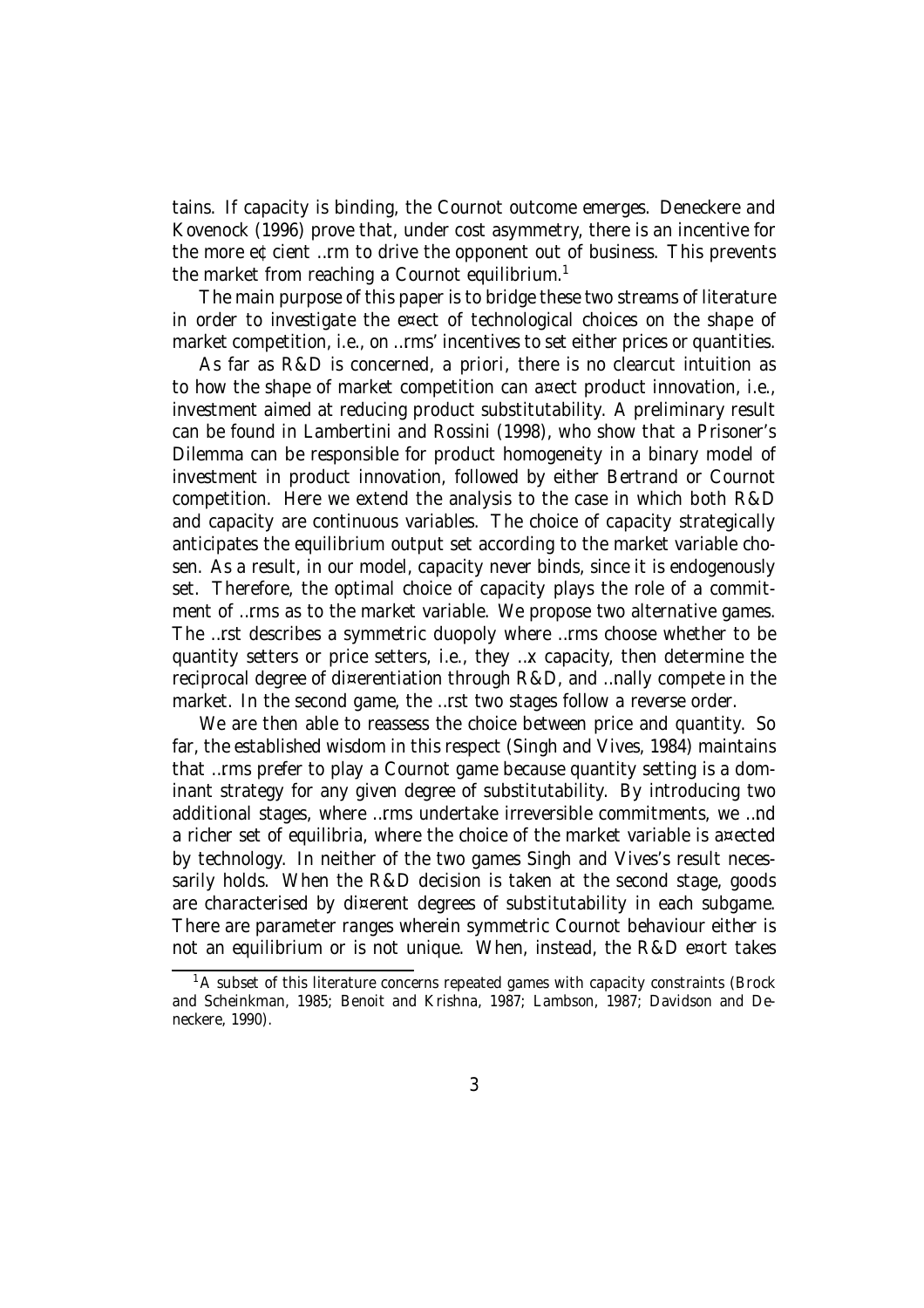tains. If capacity is binding, the Cournot outcome emerges. Deneckere and Kovenock (1996) prove that, under cost asymmetry, there is an incentive for the more e¢cient …rm to drive the opponent out of business. This prevents the market from reaching a Cournot equilibrium.<sup>1</sup>

The main purpose of this paper is to bridge these two streams of literature in order to investigate the e¤ect of technological choices on the shape of market competition, i.e., on …rms' incentives to set either prices or quantities.

As far as R&D is concerned, a priori, there is no clearcut intuition as to how the shape of market competition can a¤ect product innovation, i.e., investment aimed at reducing product substitutability. A preliminary result can be found in Lambertini and Rossini (1998), who show that a Prisoner's Dilemma can be responsible for product homogeneity in a binary model of investment in product innovation, followed by either Bertrand or Cournot competition. Here we extend the analysis to the case in which both R&D and capacity are continuous variables. The choice of capacity strategically anticipates the equilibrium output set according to the market variable chosen. As a result, in our model, capacity never binds, since it is endogenously set. Therefore, the optimal choice of capacity plays the role of a commitment of …rms as to the market variable. We propose two alternative games. The …rst describes a symmetric duopoly where …rms choose whether to be quantity setters or price setters, i.e., they …x capacity, then determine the reciprocal degree of di¤erentiation through R&D, and …nally compete in the market. In the second game, the …rst two stages follow a reverse order.

We are then able to reassess the choice between price and quantity. So far, the established wisdom in this respect (Singh and Vives, 1984) maintains that …rms prefer to play a Cournot game because quantity setting is a dominant strategy for any given degree of substitutability. By introducing two additional stages, where …rms undertake irreversible commitments, we …nd a richer set of equilibria, where the choice of the market variable is a¤ected by technology. In neither of the two games Singh and Vives's result necessarily holds. When the R&D decision is taken at the second stage, goods are characterised by di¤erent degrees of substitutability in each subgame. There are parameter ranges wherein symmetric Cournot behaviour either is not an equilibrium or is not unique. When, instead, the R&D e¤ort takes

 $1A$  subset of this literature concerns repeated games with capacity constraints (Brock and Scheinkman, 1985; Benoit and Krishna, 1987; Lambson, 1987; Davidson and Deneckere, 1990).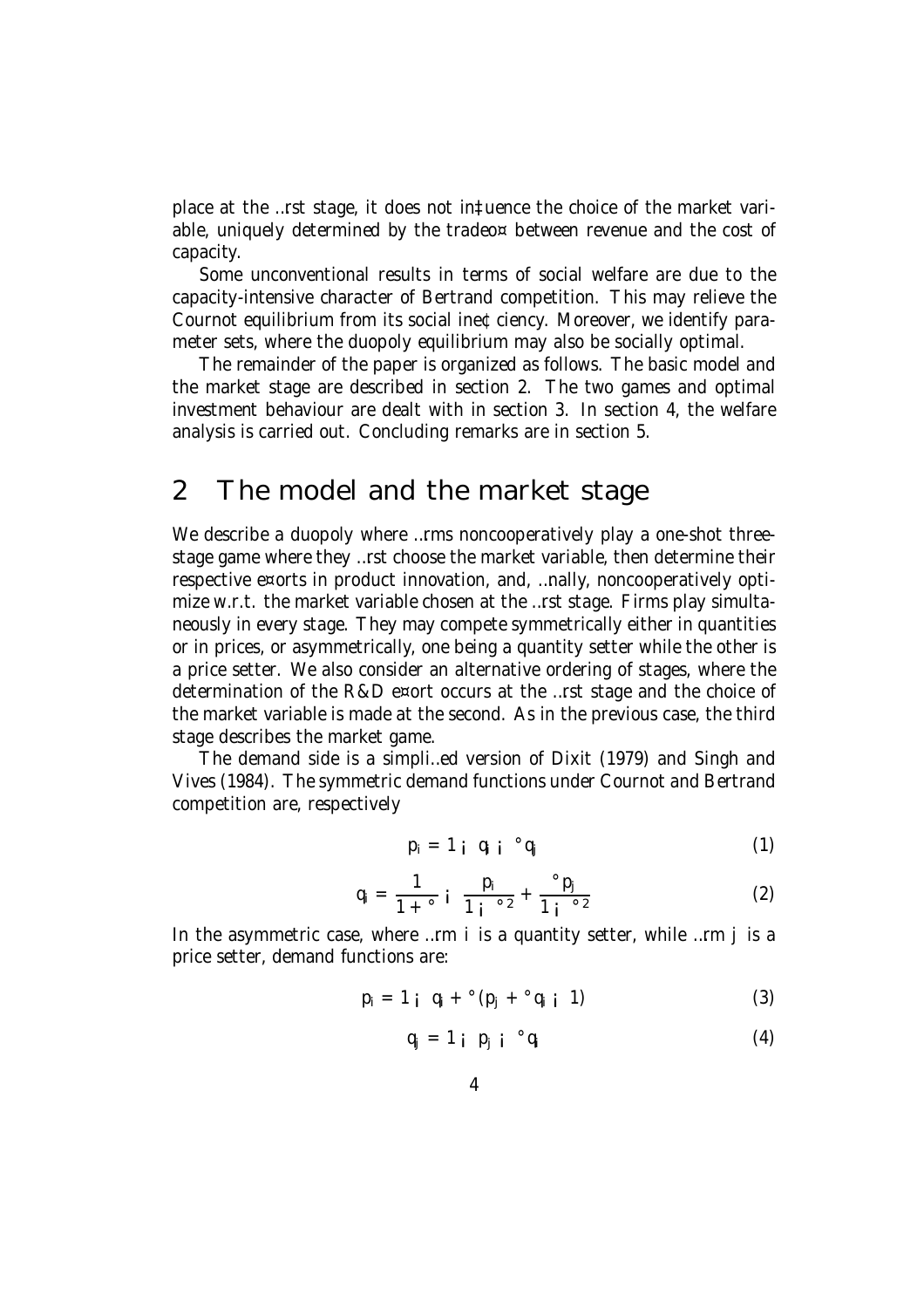place at the …rst stage, it does not in‡uence the choice of the market variable, uniquely determined by the tradeo¤ between revenue and the cost of capacity.

Some unconventional results in terms of social welfare are due to the capacity-intensive character of Bertrand competition. This may relieve the Cournot equilibrium from its social ine¢ciency. Moreover, we identify parameter sets, where the duopoly equilibrium may also be socially optimal.

The remainder of the paper is organized as follows. The basic model and the market stage are described in section 2. The two games and optimal investment behaviour are dealt with in section 3. In section 4, the welfare analysis is carried out. Concluding remarks are in section 5.

# 2 The model and the market stage

We describe a duopoly where ... rms noncooperatively play a one-shot threestage game where they …rst choose the market variable, then determine their respective e¤orts in product innovation, and, …nally, noncooperatively optimize w.r.t. the market variable chosen at the …rst stage. Firms play simultaneously in every stage. They may compete symmetrically either in quantities or in prices, or asymmetrically, one being a quantity setter while the other is a price setter. We also consider an alternative ordering of stages, where the determination of the R&D e¤ort occurs at the …rst stage and the choice of the market variable is made at the second. As in the previous case, the third stage describes the market game.

The demand side is a simpli…ed version of Dixit (1979) and Singh and Vives (1984). The symmetric demand functions under Cournot and Bertrand competition are, respectively

$$
p_i = 1 \t i \t q_i \t q_j \t (1)
$$

$$
q_{i} = \frac{1}{1 + \circ i} \frac{p_{i}}{1 + \circ i} + \frac{\circ p_{j}}{1 + \circ i} \tag{2}
$$

In the asymmetric case, where …rm i is a quantity setter, while …rm j is a price setter, demand functions are:

$$
p_i = 1 \, j \, q_i + {^{\circ}}(p_j + {^{\circ}}q_i \, j \, 1) \tag{3}
$$

$$
q_j = 1 \text{ i } p_j \text{ i } ^{\circ} q_i \tag{4}
$$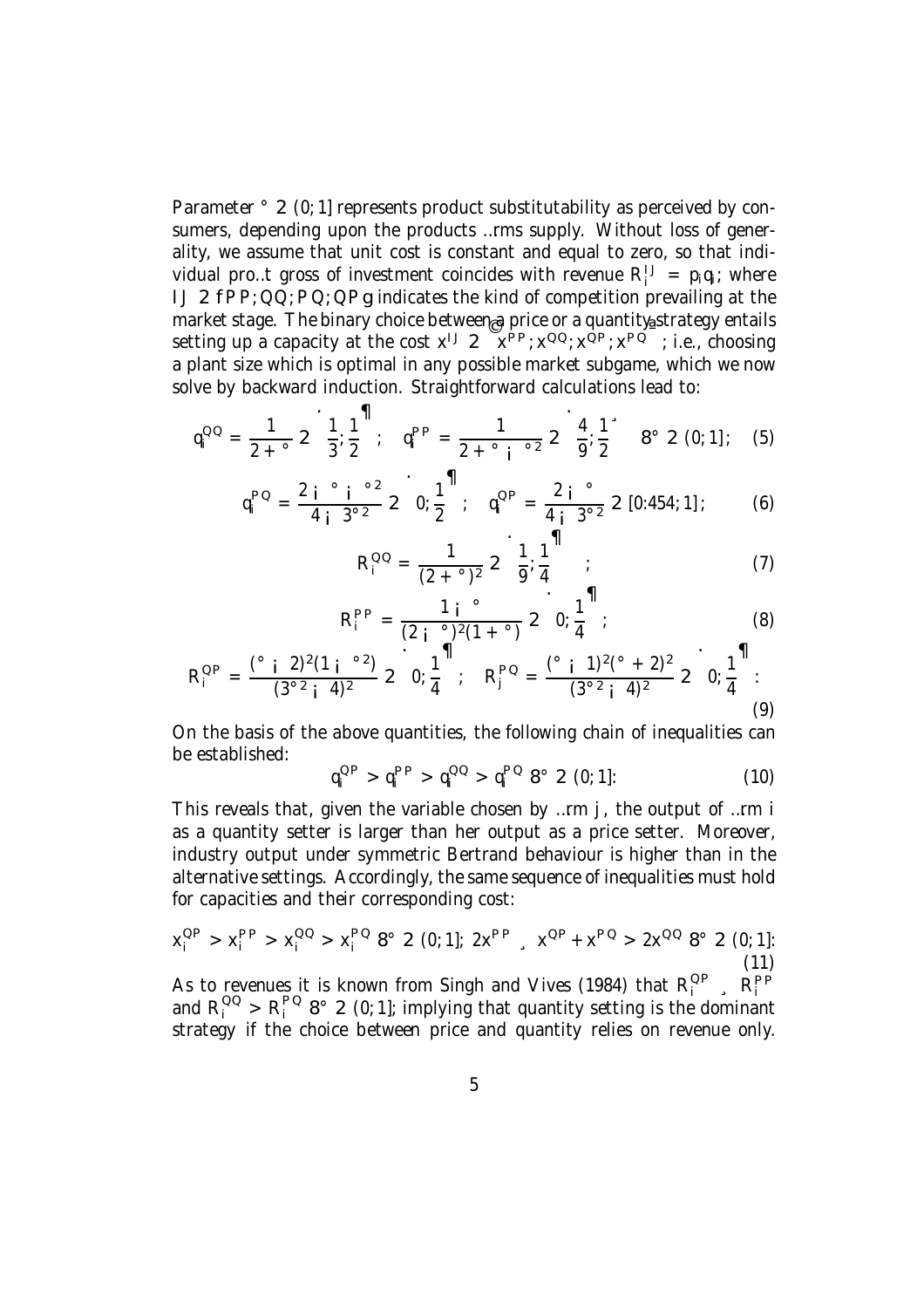Parameter  $\degree$  2 (0; 1] represents product substitutability as perceived by consumers, depending upon the products …rms supply. Without loss of generality, we assume that unit cost is constant and equal to zero, so that individual pro...t gross of investment coincides with revenue  $R_i^{IJ} = p_i q_i$ ; where IJ 2  $\overrightarrow{FP}$ ;  $\overrightarrow{OQ}$ ;  $\overrightarrow{PQ}$ ;  $\overrightarrow{OP}g$  indicates the kind of competition prevailing at the market stage. The binary choice between a price or a quantity strategy entails setting up a capacity at the cost  $x^{1J}$  2  $x^{PP}$ ;  $x^{QQ}$ ;  $x^{QP}$ ;  $x^{PQ}$ ; i.e., choosing a plant size which is optimal in any possible market subgame, which we now solve by backward induction. Straightforward calculations lead to:

$$
q_i^{OO} = \frac{1}{2 + \text{ }^\circ} 2 \left( \frac{1}{3}; \frac{1}{2}^{\text{}} \right); \quad q_i^{PP} = \frac{1}{2 + \text{ }^\circ i} \left( \frac{1}{2} \right)^2 \left( \frac{4}{9}; \frac{1}{2} \right)^2 \quad \text{8}^\circ 2 \left( 0; 1 \right); \quad (5)
$$

$$
q_i^{PQ} = \frac{2 i^{\circ} i^{\circ 2}}{4 i^3^{\circ 2}} 2^{\bullet} 0; \frac{1}{2}^{\bullet 1}; \quad q_i^{QP} = \frac{2 i^{\circ}}{4 i^3^{\circ 2}} 2 [0:454; 1];
$$
 (6)

$$
R_i^{QQ} = \frac{1}{(2 + \degree)^2} 2 \left[ \frac{1}{9} \frac{1}{4} \right]^{11}
$$
 (7)

$$
R_i^{PP} = \frac{1 i^{o}}{(2 i^{o})^2 (1 + ^{o})} 2 0; \frac{1}{4}^{11};
$$
 (8)

$$
R_i^{QP} = \frac{{^{\circ}} i \ 2)^2 (1 \ i \ ^{\circ 2})}{(3^{\circ 2} \ i \ 4)^2} 2 \ 0; \frac{1}{4}^{\mathsf{11}}, \quad R_j^{PQ} = \frac{{^{\circ}} i \ 1)^2 (^{\circ} + 2)^2}{(3^{\circ 2} \ i \ 4)^2} 2 \ 0; \frac{1}{4}^{\mathsf{11}}.
$$
\n(9)

On the basis of the above quantities, the following chain of inequalities can be established:

$$
q_i^{\rm OP} > q_i^{\rm PP} > q_i^{\rm OQ} > q_i^{\rm PO} 8^{\circ} 2 (0; 1]: \tag{10}
$$

This reveals that, given the variable chosen by …rm j, the output of …rm i as a quantity setter is larger than her output as a price setter. Moreover, industry output under symmetric Bertrand behaviour is higher than in the alternative settings. Accordingly, the same sequence of inequalities must hold for capacities and their corresponding cost:

$$
x_i^{OP} > x_i^{PP} > x_i^{OO} > x_i^{PO} 8^{\circ} 2 (0; 1]; 2x^{PP} , x^{OP} + x^{PO} > 2x^{OO} 8^{\circ} 2 (0; 1];
$$
\n(11)

As to revenues it is known from Singh and Vives (1984) that  $R_i^{OP}$ ,  $R_i^{PP}$ and  $R_i^{QQ} > R_i^{PQ}$  8° 2 (0; 1]; implying that quantity setting is the dominant strategy if the choice between price and quantity relies on revenue only.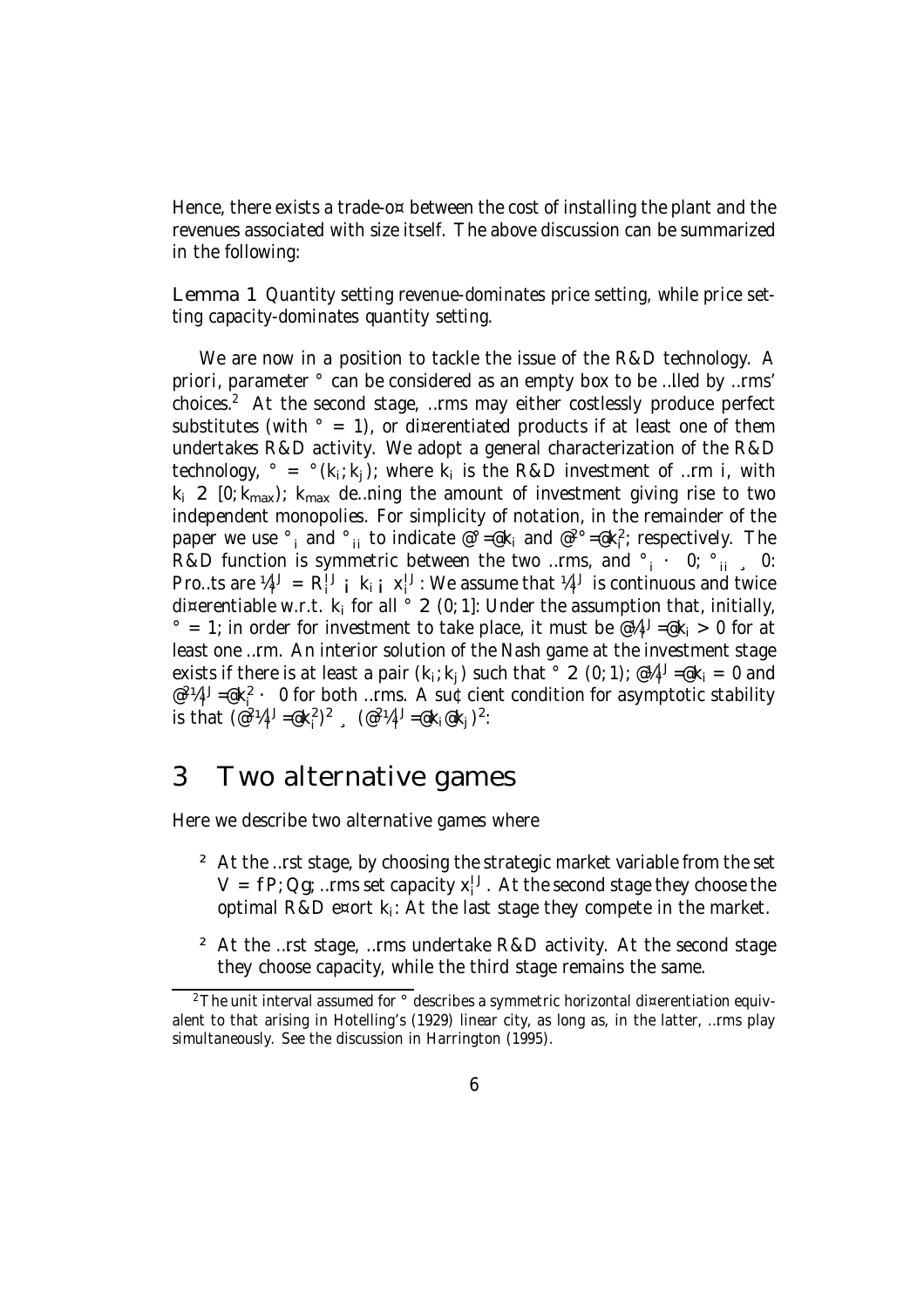Hence, there exists a trade-o $\infty$  between the cost of installing the plant and the revenues associated with size itself. The above discussion can be summarized in the following:

Lemma 1 Quantity setting revenue-dominates price setting, while price setting capacity-dominates quantity setting.

We are now in a position to tackle the issue of the R&D technology. A priori, parameter ° can be considered as an empty box to be …lled by …rms' choices. <sup>2</sup> At the second stage, …rms may either costlessly produce perfect substitutes (with  $\degree$  = 1), or di¤erentiated products if at least one of them undertakes R&D activity. We adopt a general characterization of the R&D technology,  $\degree = \degree$ (k<sub>i</sub>;k<sub>j</sub>); where k<sub>i</sub> is the R&D investment of ...rm i, with  $k_i$  2 [0;  $k_{max}$ );  $k_{max}$  de…ning the amount of investment giving rise to two independent monopolies. For simplicity of notation, in the remainder of the paper we use  $\degree$ <sub>i</sub> and  $\degree$ <sub>ii</sub> to indicate  $\degree$  =  $\degree$ k<sub>i</sub> and  $\degree$  <sup>2</sup> $\degree$  =  $\degree$ k<sub>i</sub><sup>2</sup>; respectively. The R&D function is symmetric between the two …rms, and  $\degree$  i  $\degree$  0;  $\degree$  ii  $\degree$  0: Pro…ts are  $\mathcal{U}_i^{\mathsf{U}} = \mathsf{R}_i^{\mathsf{U}}$  i  $\mathsf{k}_i$  i  $\mathsf{x}_i^{\mathsf{U}}$ : We assume that  $\mathcal{U}_i^{\mathsf{U}}$  is continuous and twice di¤erentiable w.r.t.  $k_i$  for all  $\circ$  2 (0; 1]: Under the assumption that, initially,  $\degree$  = 1; in order for investment to take place, it must be  $\mathscr{A}_i^{1,J} = \mathscr{A}_i > 0$  for at least one …rm. An interior solution of the Nash game at the investment stage exists if there is at least a pair  $(k_i; k_j)$  such that  $\degree$  2 (0; 1);  $\degree k_i = 0$  and  $e^{2\lambda}$ <sup>1</sup> $j = e^{2\lambda}$  · 0 for both …rms. A su¢cient condition for asymptotic stability is that  $(\mathscr{C}^2 \mathscr{A}_i^1 - \mathscr{C}^2 \mathscr{K}_i^2)^2$ ,  $(\mathscr{C}^2 \mathscr{A}_i^1 - \mathscr{C} \mathscr{K}_i \mathscr{C} \mathscr{K}_j)^2$ :

### 3 Two alternative games

Here we describe two alternative games where

- <sup>2</sup> At the …rst stage, by choosing the strategic market variable from the set  $V = fP$ ; Qg; ... rms set capacity  $x_i^U$ . At the second stage they choose the optimal R&D e¤ort  $k_i$ : At the last stage they compete in the market.
- ² At the …rst stage, …rms undertake R&D activity. At the second stage they choose capacity, while the third stage remains the same.

 $2$ The unit interval assumed for  $\degree$  describes a symmetric horizontal di¤erentiation equivalent to that arising in Hotelling's (1929) linear city, as long as, in the latter, …rms play simultaneously. See the discussion in Harrington (1995).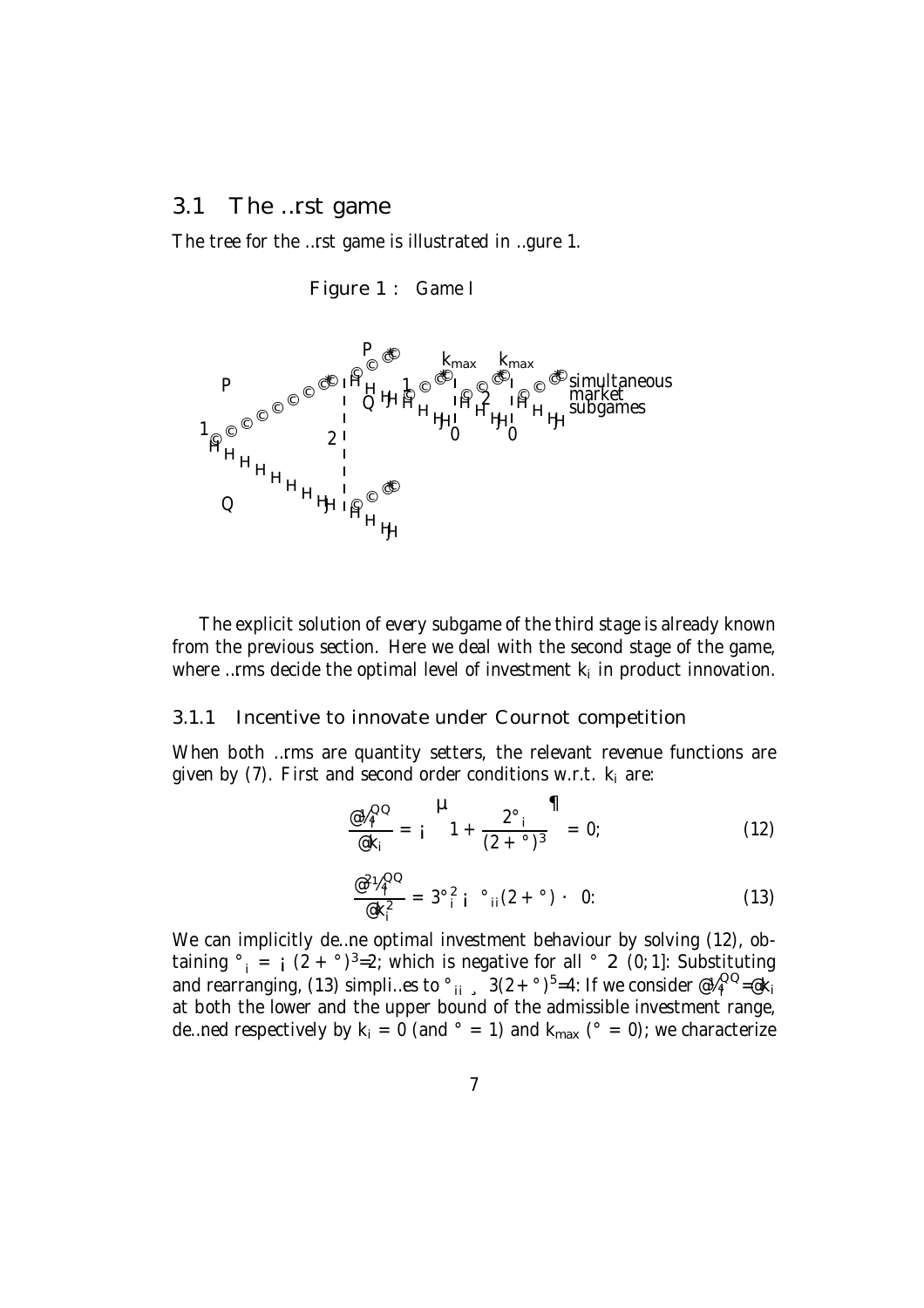### 3.1 The …rst game

The tree for the …rst game is illustrated in …gure 1.

Figure 1 : Game I



The explicit solution of every subgame of the third stage is already known from the previous section. Here we deal with the second stage of the game, where …rms decide the optimal level of investment  $k_i$  in product innovation.

#### 3.1.1 Incentive to innovate under Cournot competition

When both …rms are quantity setters, the relevant revenue functions are given by  $(7)$ . First and second order conditions w.r.t.  $k_i$  are:

$$
\frac{\omega_{\lambda_i}^{QQ}}{\omega_{\lambda_i}} = \begin{vmatrix} 1 & 2^{\circ} \\ 1 + \frac{2^{\circ} - 1}{(2 + \circ)^3} \end{vmatrix} = 0;
$$
 (12)

$$
\frac{\omega^2 V_1^{QQ}}{\omega k_i^2} = 3^\circ \frac{2}{i} i^\circ \frac{1}{i} (2 + \degree) \cdot 0: \tag{13}
$$

We can implicitly de…ne optimal investment behaviour by solving (12), obtaining  $\degree$ <sub>i</sub> = i (2 +  $\degree$ )<sup>3</sup>=2; which is negative for all  $\degree$  2 (0; 1]: Substituting and rearranging, (13) simpli…es to  $\degree_{ii}$  ,  $3(2 + \degree)^5 = 4$ : If we consider  $\degree\frac{1}{4} \degree \degree \degree \text{eV}_i$ at both the lower and the upper bound of the admissible investment range, de...ned respectively by  $k_i = 0$  (and  $\degree = 1$ ) and  $k_{max}$  ( $\degree = 0$ ); we characterize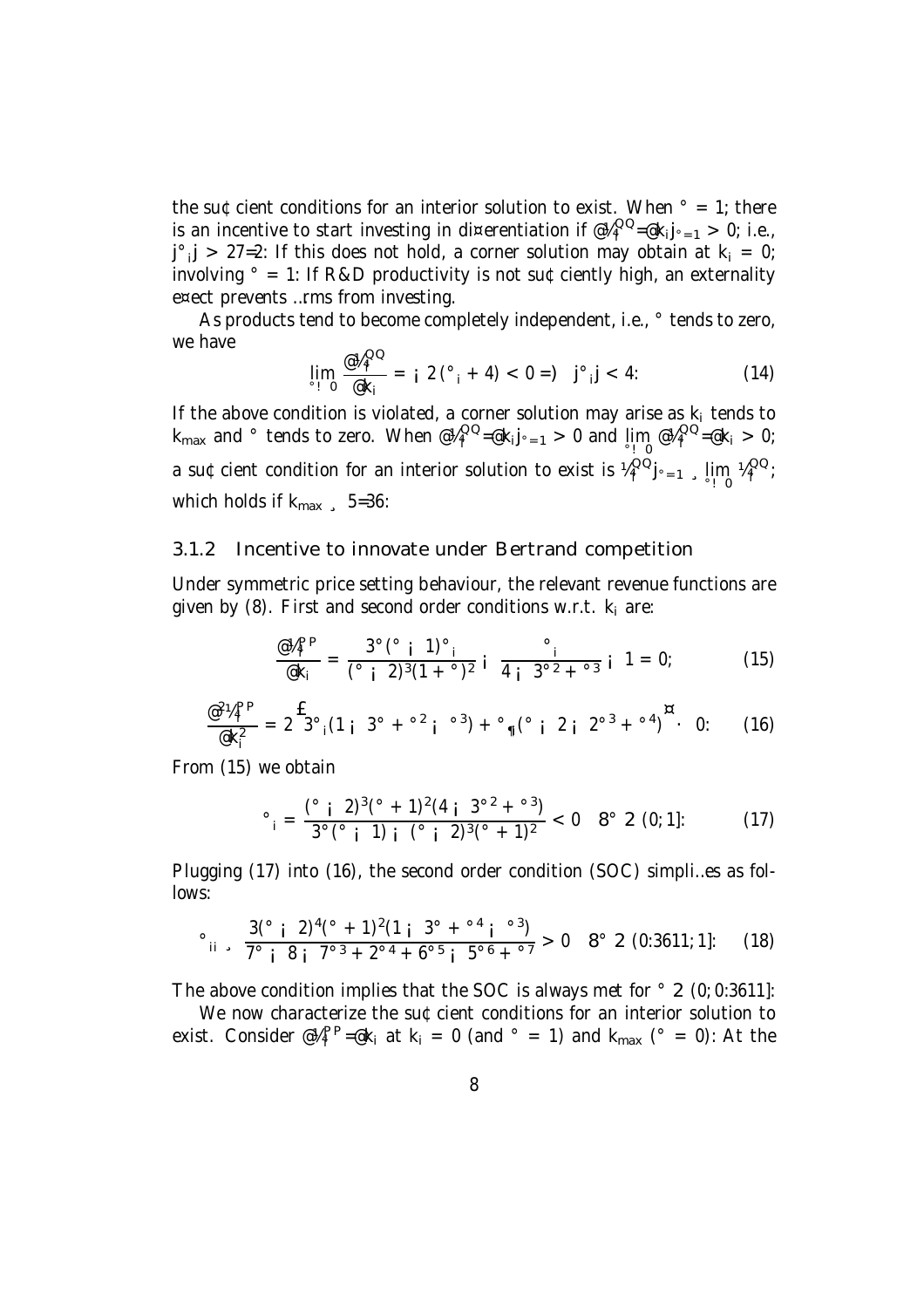the su¢cient conditions for an interior solution to exist. When  $\degree$  = 1; there is an incentive to start investing in di¤erentiation if  $\mathcal{C}\mathcal{A}^{\text{QQ}}_{\text{i}}$  $i^{\text{UQ}}$ =@k<sub>i</sub>**j**<sub>°=1</sub> > 0; i.e.,  $j^{\circ}$   $j > 27$ =2: If this does not hold, a corner solution may obtain at  $k_i = 0$ ; involving  $\degree$  = 1: If R&D productivity is not su¢ciently high, an externality e¤ect prevents …rms from investing.

As products tend to become completely independent, i.e.,  $\degree$  tends to zero, we have  $\sim$ 

$$
\lim_{i \to 0} \frac{\omega_{\mu_i}^{QQ}}{\omega_{\kappa_i}} = i \ 2 \, (^{\circ}{}_{i} + 4) < 0 = j \ 3 \, j \, \text{ s} \, \, (14)
$$

If the above condition is violated, a corner solution may arise as  $k_i$  tends to k<sub>max</sub> and  $^{\circ}$  tends to zero. When @¼ $_{\mathsf{i}}^{\mathsf{QQ}}$  $I_i^{QQ}$ =@k<sub>i</sub>j<sub>°=1</sub> > 0 and  $\lim_{i \to 0} eV_i^{QQ}$  $i^{\cup\cup} = \textcircled{e}k_i > 0;$ a su¢cient condition for an interior solution to exist is  $\frac{\mu}{\mu}^{\text{QQ}}$  $\lim_{i} \int_{0}^{QQ} j \cdot 1 = 1$ ,  $\lim_{i} \lim_{i} \int_{0}^{QQ}$ i ; which holds if  $k_{max}$   $\,$  5=36:

#### 3.1.2 Incentive to innovate under Bertrand competition

Under symmetric price setting behaviour, the relevant revenue functions are given by  $(8)$ . First and second order conditions w.r.t.  $k_i$  are:

$$
\frac{\omega_{i}^{app}}{\omega_{k_i}} = \frac{3^{\circ} (^{\circ} \text{ i } 1)^{\circ}}{(^{\circ} \text{ i } 2)^3 (1 + ^{\circ})^2} \text{ i } \frac{\circ}{4 \text{ i } 3^{\circ 2} + ^{\circ 3}} \text{ i } 1 = 0; \tag{15}
$$

$$
\frac{\omega^2 V_i^{\rm PP}}{\omega k_i^2} = 2 \mathbf{f}^2 \mathbf{g}^{\circ} \left( 1 + 3^{\circ} + \mathbf{g}^2 \mathbf{i} \right) \mathbf{g}^3 + \mathbf{g}^{\circ} \left( \mathbf{g}^{\circ} \mathbf{i} + 2 \mathbf{i} \right) \mathbf{g}^2 + \mathbf{g}^2 \mathbf{g}^3 + \mathbf{g}^4 \mathbf{g}^6 \mathbf{g} \tag{16}
$$

From (15) we obtain

$$
^{\circ}{}_{i} = \frac{({}^{\circ}{}_{i} 2)^{3}({}^{\circ} + 1)^{2}(4 \text{ i } 3^{\circ 2} + {}^{\circ}3)}{3^{\circ}({}^{\circ}{}_{i} 1) {i} ({}^{\circ}{}_{i} 2)^{3}({}^{\circ} + 1)^{2}} < 0 \quad 8^{\circ} 2 (0; 1]: \tag{17}
$$

Plugging (17) into (16), the second order condition (SOC) simpli…es as follows:

$$
\circ \text{ii} \quad \frac{3\binom{6}{1} \cdot 2^{4\binom{6}{1} + 1^{2}(1 + 3^{6} + 1^{6})}}{7^{6} \cdot 8 \cdot 1^{7^{6} \cdot 3} + 2^{6 \cdot 4} + 6^{6 \cdot 5} \cdot 5^{6 \cdot 6} + 7^{6 \cdot 7}} > 0 \quad 8^{\circ} \quad 2 \quad (0:3611; 1]: \quad (18)
$$

The above condition implies that the SOC is always met for  $\degree$  2 (0; 0:3611]:

We now characterize the su¢cient conditions for an interior solution to exist. Consider  $\mathcal{Q}_i^{\text{PP}}$ =@k<sub>i</sub> at k<sub>i</sub> = 0 (and  $\degree$  = 1) and k<sub>max</sub> ( $\degree$  = 0): At the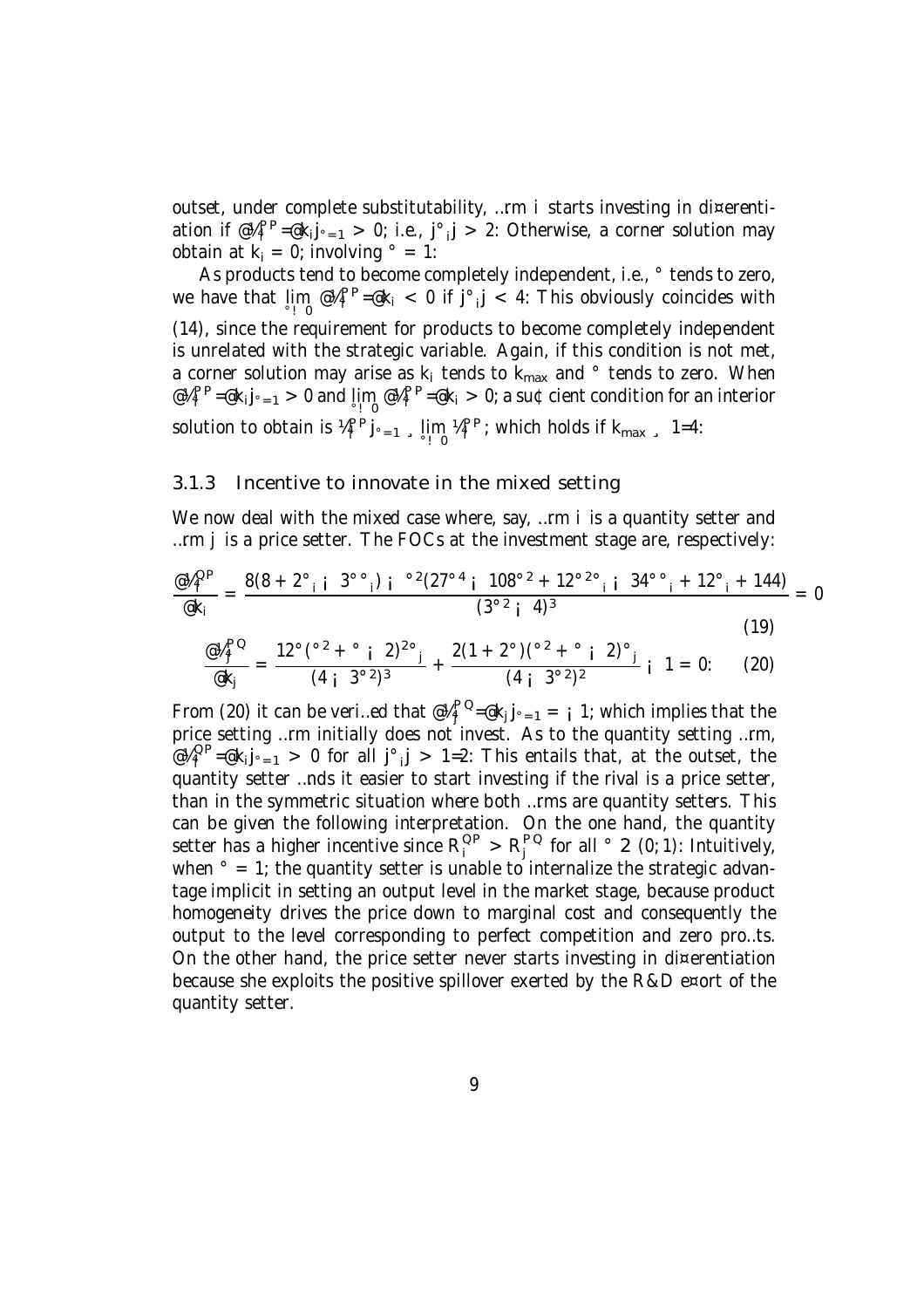outset, under complete substitutability, …rm i starts investing in di¤erentiation if  $\mathcal{C}\mathcal{U}^{\mathsf{PP}}_i = \mathcal{C}k_i j_{i-1} > 0$ ; i.e., j°<sub>i</sub>j > 2: Otherwise, a corner solution may obtain at  $k_i = 0$ ; involving  $\degree = 1$ :

As products tend to become completely independent, i.e.,  $\degree$  tends to zero, we have that  $\lim_{s\to 0} \mathcal{Q} \mathcal{U}^{\mathsf{PP}}_i = \mathcal{Q} \mathsf{k}_i < 0$  if  $\mathsf{j}^\circ \mathsf{.} \mathsf{j} < 4$ : This obviously coincides with (14), since the requirement for products to become completely independent is unrelated with the strategic variable. Again, if this condition is not met, a corner solution may arise as  $k_i$  tends to  $k_{max}$  and  $^{\circ}$  tends to zero. When  $@4_i^{PP} = @k_i j_{^{\circ}=1} > 0$  and  $\lim_{^{\circ}=1} @4_i^{PP} = @k_i > 0$ ; a su¢cient condition for an interior solution to obtain is  $\frac{\mu_P}{\mu_P}$ j<sub>°=1</sub>, lim  $\frac{\mu_P}{\mu_P}$ ; which holds if k<sub>max</sub>, 1=4:

#### 3.1.3 Incentive to innovate in the mixed setting

We now deal with the mixed case where, say, ... rm i is a quantity setter and …rm j is a price setter. The FOCs at the investment stage are, respectively:

$$
\frac{\omega_{4}^{QP}}{\omega_{k_i}} = \frac{8(8 + 2^{\circ} \cdot i \cdot 3^{\circ} \cdot j \cdot i \cdot 2(27^{\circ 4} \cdot i \cdot 108^{\circ 2} + 12^{\circ 2} \cdot i \cdot j \cdot 34^{\circ} \cdot i \cdot 12^{\circ} \cdot i \cdot 144)}{(3^{\circ 2} \cdot i \cdot 4)^3} = 0
$$
\n(19)

$$
\frac{\omega_{4j}^{PQ}}{\omega_{kj}} = \frac{12^{\circ} (\frac{\circ 2}{2} + \frac{\circ}{2} i \cdot 2)^{2 \circ}}{(4 i \cdot 3^{\circ 2})^{3}} + \frac{2(1 + 2^{\circ}) (\frac{\circ 2}{2} + \frac{\circ}{2} i \cdot 2)^{\circ}}{(4 i \cdot 3^{\circ 2})^{2}} i \cdot 1 = 0: \quad (20)
$$

From (20) it can be veri...ed that  $@V_i^{\mathsf{PQ}}$  $j^{\mathsf{P} \mathsf{Q}}$ =@k $_j$ j $\cdot$  =1 =  $j$  1; which implies that the price setting …rm initially does not invest. As to the quantity setting …rm,  $@4_1^{QP} = \mathsf{R}_1 j_{\circ} = 1 > 0$  for all  $j^{\circ}$  j > 1=2: This entails that, at the outset, the quantity setter …nds it easier to start investing if the rival is a price setter, than in the symmetric situation where both …rms are quantity setters. This can be given the following interpretation. On the one hand, the quantity setter has a higher incentive since  $\mathsf{R}^\mathsf{OP}_\mathsf{i} > \mathsf{R}^\mathsf{PO}_\mathsf{j}$  $j^{\text{PQ}}$  for all  $\degree$  2 (0; 1): Intuitively, when  $\degree$  = 1; the quantity setter is unable to internalize the strategic advantage implicit in setting an output level in the market stage, because product homogeneity drives the price down to marginal cost and consequently the output to the level corresponding to perfect competition and zero pro…ts. On the other hand, the price setter never starts investing in di¤erentiation because she exploits the positive spillover exerted by the R&D e¤ort of the quantity setter.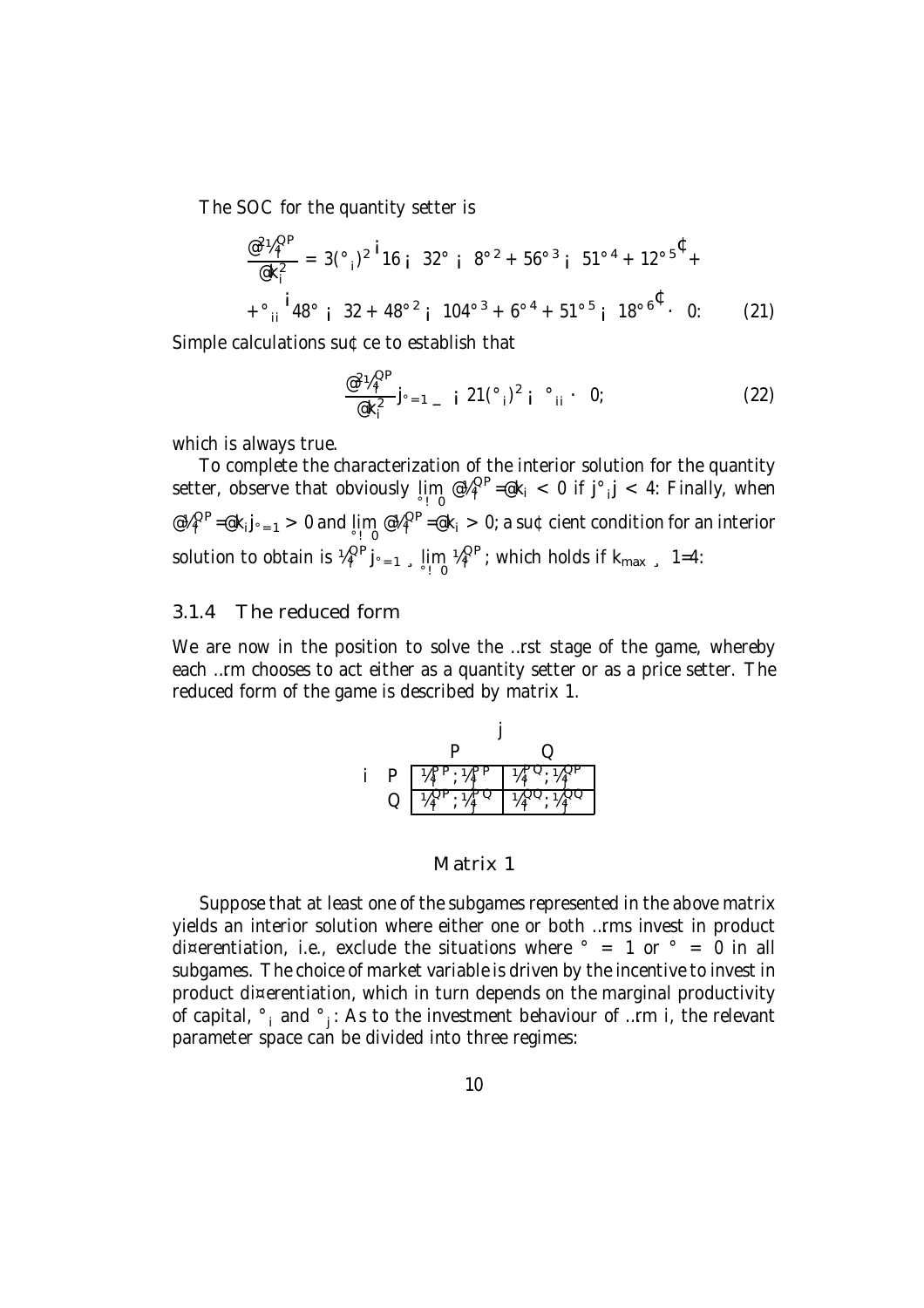The SOC for the quantity setter is

$$
\frac{\omega^2 V_4^{\text{OP}}}{\omega k_i^2} = 3(\degree_i)^2 \cdot 16 \cdot 32^\circ \cdot 8^{\circ 2} + 56^{\circ 3} \cdot 51^{\circ 4} + 12^{\circ 5} \cdot 4 + \degree_{ii} \cdot 48^\circ \cdot 32 + 48^{\circ 2} \cdot 104^{\circ 3} + 6^{\circ 4} + 51^{\circ 5} \cdot 18^{\circ 6} \cdot 0: \qquad (21)
$$

Simple calculations su¢ce to establish that

$$
\frac{\omega^2 V_4^{\text{OP}}}{\omega k_i^2} j_{\text{e-1}} = i \ 21(\text{°}_i)^2 \ i \text{°}_i \cdot 0; \qquad (22)
$$

which is always true.

To complete the characterization of the interior solution for the quantity setter, observe that obviously  $\lim_{i \to 0} e\mu_i^{QP} = k_i < 0$  if  $j^\circ, j < 4$ : Finally, when @¼<sup>QP</sup>  $I_i^{QP} = \mathcal{Q}k_i j_{\circ = 1} > 0$  and  $\lim_{\circ \to 0} \mathcal{Q}k_i^{QP}$  $I_i^{QP}$ =@k<sub>i</sub>  $> 0$ ; a su¢cient condition for an interior solution to obtain is  $\frac{\mu_{\text{Q}}\text{O}}{n}$  $\lim_{i} \int_{0}^{QP} j_{0} = 1$ ,  $\lim_{i} \lim_{i} \frac{1}{2} \int_{0}^{QP}$  $\frac{QP}{q}$ ; which holds if  $k_{max}$  , 1=4:

#### 3.1.4 The reduced form

We are now in the position to solve the ...rst stage of the game, whereby each …rm chooses to act either as a quantity setter or as a price setter. The reduced form of the game is described by matrix 1.

|     | Ι.  |  |  |  |  |
|-----|-----|--|--|--|--|
| P   | ŗР. |  |  |  |  |
| ر ۰ |     |  |  |  |  |

#### Matrix 1

Suppose that at least one of the subgames represented in the above matrix yields an interior solution where either one or both …rms invest in product di¤erentiation, i.e., exclude the situations where  $\degree$  = 1 or  $\degree$  = 0 in all subgames. The choice of market variable is driven by the incentive to invest in product di¤erentiation, which in turn depends on the marginal productivity of capital,  $\degree$ <sub>i</sub> and  $\degree$ <sub>j</sub>: As to the investment behaviour of …rm i, the relevant parameter space can be divided into three regimes: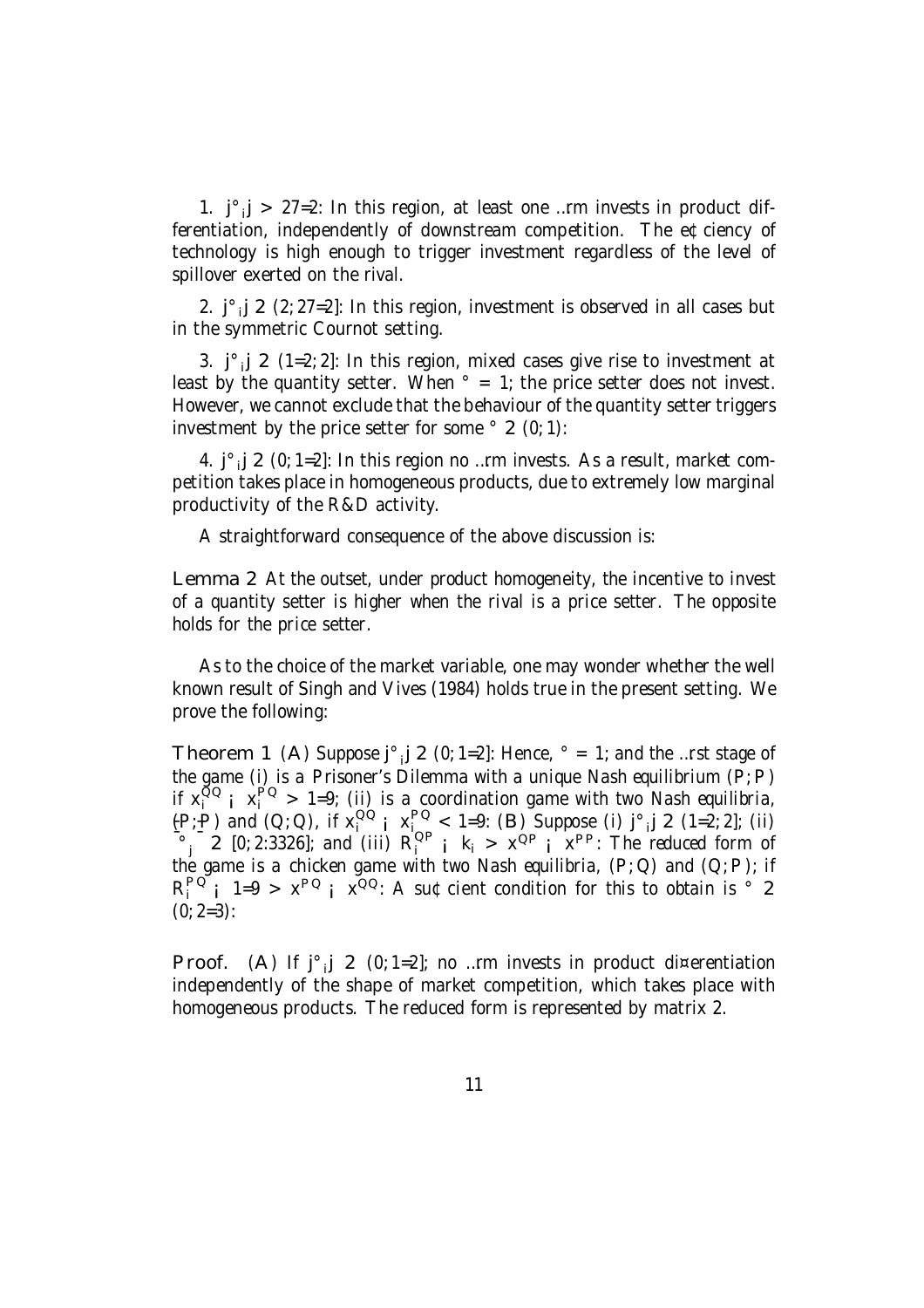1.  $j^{\circ}$   $j > 27 = 2$ : In this region, at least one ... rm invests in product differentiation, independently of downstream competition. The e¢ciency of technology is high enough to trigger investment regardless of the level of spillover exerted on the rival.

2.  $j^{\circ}$ <sub>i</sub> 2 (2; 27=2]: In this region, investment is observed in all cases but in the symmetric Cournot setting.

3.  $j^{\circ}$   $j$  2 (1=2; 2]: In this region, mixed cases give rise to investment at least by the quantity setter. When  $\degree$  = 1; the price setter does not invest. However, we cannot exclude that the behaviour of the quantity setter triggers investment by the price setter for some  $\degree$  2 (0; 1):

4.  $j^{\circ}$  j 2 (0; 1=2]: In this region no ...rm invests. As a result, market competition takes place in homogeneous products, due to extremely low marginal productivity of the R&D activity.

A straightforward consequence of the above discussion is:

Lemma 2 At the outset, under product homogeneity, the incentive to invest of a quantity setter is higher when the rival is a price setter. The opposite holds for the price setter.

As to the choice of the market variable, one may wonder whether the well known result of Singh and Vives (1984) holds true in the present setting. We prove the following:

Theorem 1 (A) Suppose  $j^{\circ}$   $j$  2 (0; 1=2]: Hence,  $\circ$  = 1; and the …rst stage of the game (i) is a Prisoner's Dilemma with a unique Nash equilibrium  $(P, P)$ if  $x_i^{OQ}$  i  $x_i^{PO} > 1=9$ ; (ii) is a coordination game with two Nash equilibria,  $(P, P)$  and  $(Q, Q)$ , if  $x_i^{QQ}$  ;  $x_i^{PQ} < 1=9$ : (B) Suppose (i)  $j^{\circ}$  j 2 (1=2; 2]; (ii)  $\frac{1}{3}$  2 [0; 2:3326]; and (iii)  $R_i^{QP}$  ;  $k_i > x^{QP}$  ;  $x^{PP}$ : The reduced form of the game is a chicken game with two Nash equilibria,  $(P; Q)$  and  $(Q; P)$ ; if  $R_i^{PQ}$  i  $1=9 > x^{PQ}$  i  $x^{QQ}$ : A su¢cient condition for this to obtain is ° 2  $(0; 2=3):$ 

Proof. (A) If  $j^{\circ}$  j 2 (0; 1=2]; no ... rm invests in product di¤erentiation independently of the shape of market competition, which takes place with homogeneous products. The reduced form is represented by matrix 2.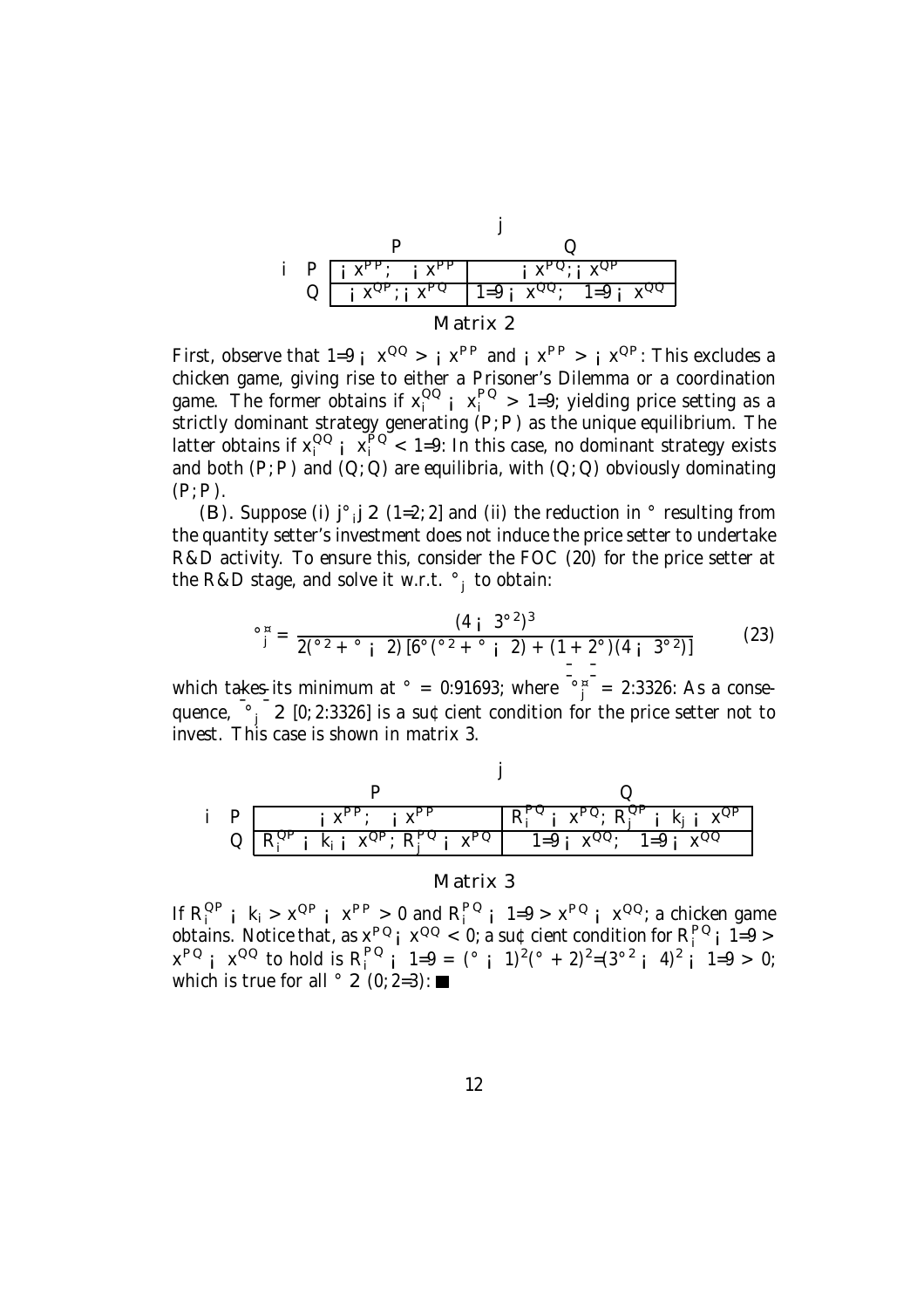| $X_{\rm{F}}$<br>P<br>$\mathsf{X}^{\mathsf{P}\,\mathsf{r}}$ |  |  |                      |  |  |  |  |  |
|------------------------------------------------------------|--|--|----------------------|--|--|--|--|--|
|                                                            |  |  | $1 = 9$<br>$1 = 9$ . |  |  |  |  |  |
| Matrix 2                                                   |  |  |                      |  |  |  |  |  |

First, observe that  $1=9i$   $x^{QQ} > i$   $x^{PP}$  and  $i$   $x^{PP} > i$   $x^{QP}$ . This excludes a chicken game, giving rise to either a Prisoner's Dilemma or a coordination game. The former obtains if  $x_i^{OO}$   $\mapsto x_i^{PO} > 1=9$ ; yielding price setting as a strictly dominant strategy generating (P;P) as the unique equilibrium. The latter obtains if  $x_i^{OO}$   $\frac{1}{x_i^{PO}}$  < 1=9: In this case, no dominant strategy exists and both  $(P; P)$  and  $(Q; Q)$  are equilibria, with  $(Q; Q)$  obviously dominating  $(P; P)$ .

(B). Suppose (i)  $j^{\circ}$  j 2 (1=2; 2] and (ii) the reduction in  $^{\circ}$  resulting from the quantity setter's investment does not induce the price setter to undertake R&D activity. To ensure this, consider the FOC (20) for the price setter at the R&D stage, and solve it w.r.t. °<sub>j</sub> to obtain:

$$
^{\circ}{}_{j}^{\mu} = \frac{(4 \; \text{m})^{3}}{2({}^{\circ}2 + {}^{\circ}i \; 2) [6^{\circ}({}^{\circ}2 + {}^{\circ}i \; 2) + (1 + 2^{\circ})(4 \; \text{m})^{3}} \qquad (23)
$$

which takes its minimum at  $\degree = 0.91693$ ; where  $\frac{\degree}{\degree}$  = 2.3326: As a consequence,  $\begin{bmatrix} 0 & 0 \\ 0 & 2 \end{bmatrix}$  2 [0; 2:3326] is a su¢cient condition for the price setter not to invest. This case is shown in matrix 3.



Matrix 3

If  $R_i^{OP}$  i  $k_i > x^{OP}$  i  $x^{PP} > 0$  and  $R_i^{PO}$  i  $1=9 > x^{PO}$  i  $x^{OQ}$ ; a chicken game obtains. Notice that, as  $x^{PQ}$ ;  $x^{QQ}$  < 0; a su¢cient condition for  $R_i^{PQ}$ ; 1=9 >  $x^{PQ}$  i  $x^{QQ}$  to hold is  $R_i^{PQ}$  i  $1=9 = (° i 1)^2 (° + 2)^2 = (3^{02} i 4)^2 i 1=9 > 0;$ which is true for all  $\degree$  2 (0; 2=3):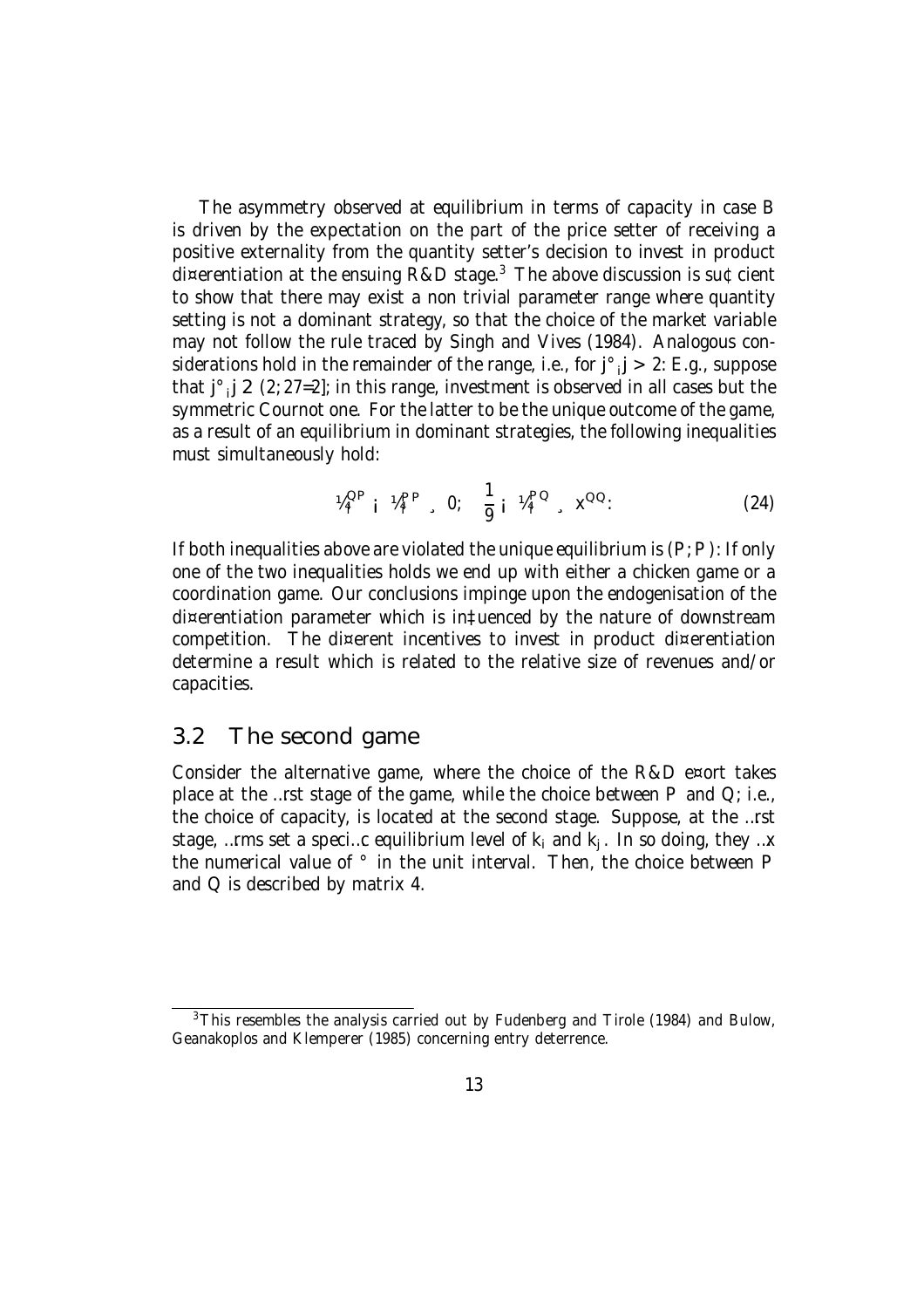The asymmetry observed at equilibrium in terms of capacity in case B is driven by the expectation on the part of the price setter of receiving a positive externality from the quantity setter's decision to invest in product di¤erentiation at the ensuing R&D stage.<sup>3</sup> The above discussion is su¢cient to show that there may exist a non trivial parameter range where quantity setting is not a dominant strategy, so that the choice of the market variable may not follow the rule traced by Singh and Vives (1984). Analogous considerations hold in the remainder of the range, i.e., for  $j^{\circ}$ ,  $j > 2$ : E.g., suppose that  $j^{\circ}$   $j \geq (2; 27=2]$ ; in this range, investment is observed in all cases but the symmetric Cournot one. For the latter to be the unique outcome of the game, as a result of an equilibrium in dominant strategies, the following inequalities must simultaneously hold:

$$
W_i^{\text{QP}} \, \mathbf{i} \, W_i^{\text{PP}} \quad 0; \quad \frac{1}{9} \, \mathbf{i} \, W_i^{\text{PQ}} \quad \mathbf{x}^{\text{QQ}}.
$$
 (24)

If both inequalities above are violated the unique equilibrium is  $(P; P)$ : If only one of the two inequalities holds we end up with either a chicken game or a coordination game. Our conclusions impinge upon the endogenisation of the di¤erentiation parameter which is in‡uenced by the nature of downstream competition. The di¤erent incentives to invest in product di¤erentiation determine a result which is related to the relative size of revenues and/or capacities.

### 3.2 The second game

Consider the alternative game, where the choice of the R&D e¤ort takes place at the …rst stage of the game, while the choice between  $P$  and  $Q$ ; i.e., the choice of capacity, is located at the second stage. Suppose, at the …rst stage, …rms set a speci…c equilibrium level of  $\mathsf{k}_{\mathsf{i}}$  and  $\mathsf{k}_{\mathsf{j}}$  . In so doing, they …x the numerical value of ° in the unit interval. Then, the choice between P and Q is described by matrix 4.

<sup>&</sup>lt;sup>3</sup>This resembles the analysis carried out by Fudenberg and Tirole (1984) and Bulow, Geanakoplos and Klemperer (1985) concerning entry deterrence.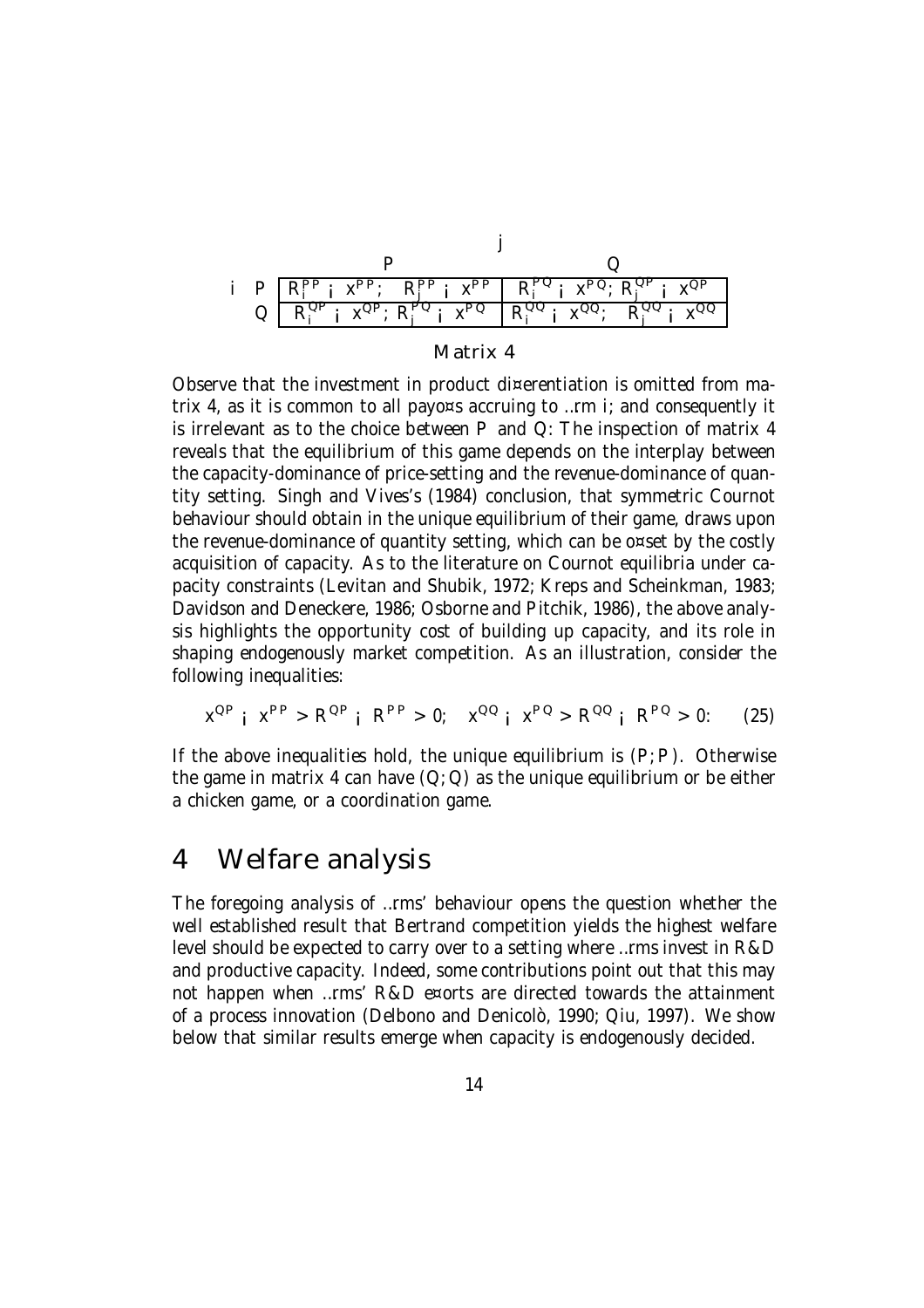

| Matrix 4 |  |  |
|----------|--|--|
|          |  |  |

Observe that the investment in product di¤erentiation is omitted from matrix 4, as it is common to all payo¤s accruing to ...  $r$ m i; and consequently it is irrelevant as to the choice between P and Q: The inspection of matrix 4 reveals that the equilibrium of this game depends on the interplay between the capacity-dominance of price-setting and the revenue-dominance of quantity setting. Singh and Vives's (1984) conclusion, that symmetric Cournot behaviour should obtain in the unique equilibrium of their game, draws upon the revenue-dominance of quantity setting, which can be o¤set by the costly acquisition of capacity. As to the literature on Cournot equilibria under capacity constraints (Levitan and Shubik, 1972; Kreps and Scheinkman, 1983; Davidson and Deneckere, 1986; Osborne and Pitchik, 1986), the above analysis highlights the opportunity cost of building up capacity, and its role in shaping endogenously market competition. As an illustration, consider the following inequalities:

 $x^{QP}$  i  $x^{PP} > R^{QP}$  i  $R^{PP} > 0$ ;  $x^{QQ}$  i  $x^{PQ} > R^{QQ}$  i  $R^{PQ} > 0$ : (25)

If the above inequalities hold, the unique equilibrium is  $(P, P)$ . Otherwise the game in matrix 4 can have  $(Q; Q)$  as the unique equilibrium or be either a chicken game, or a coordination game.

# 4 Welfare analysis

The foregoing analysis of …rms' behaviour opens the question whether the well established result that Bertrand competition yields the highest welfare level should be expected to carry over to a setting where …rms invest in R&D and productive capacity. Indeed, some contributions point out that this may not happen when …rms' R&D e¤orts are directed towards the attainment of a process innovation (Delbono and Denicolò, 1990; Qiu, 1997). We show below that similar results emerge when capacity is endogenously decided.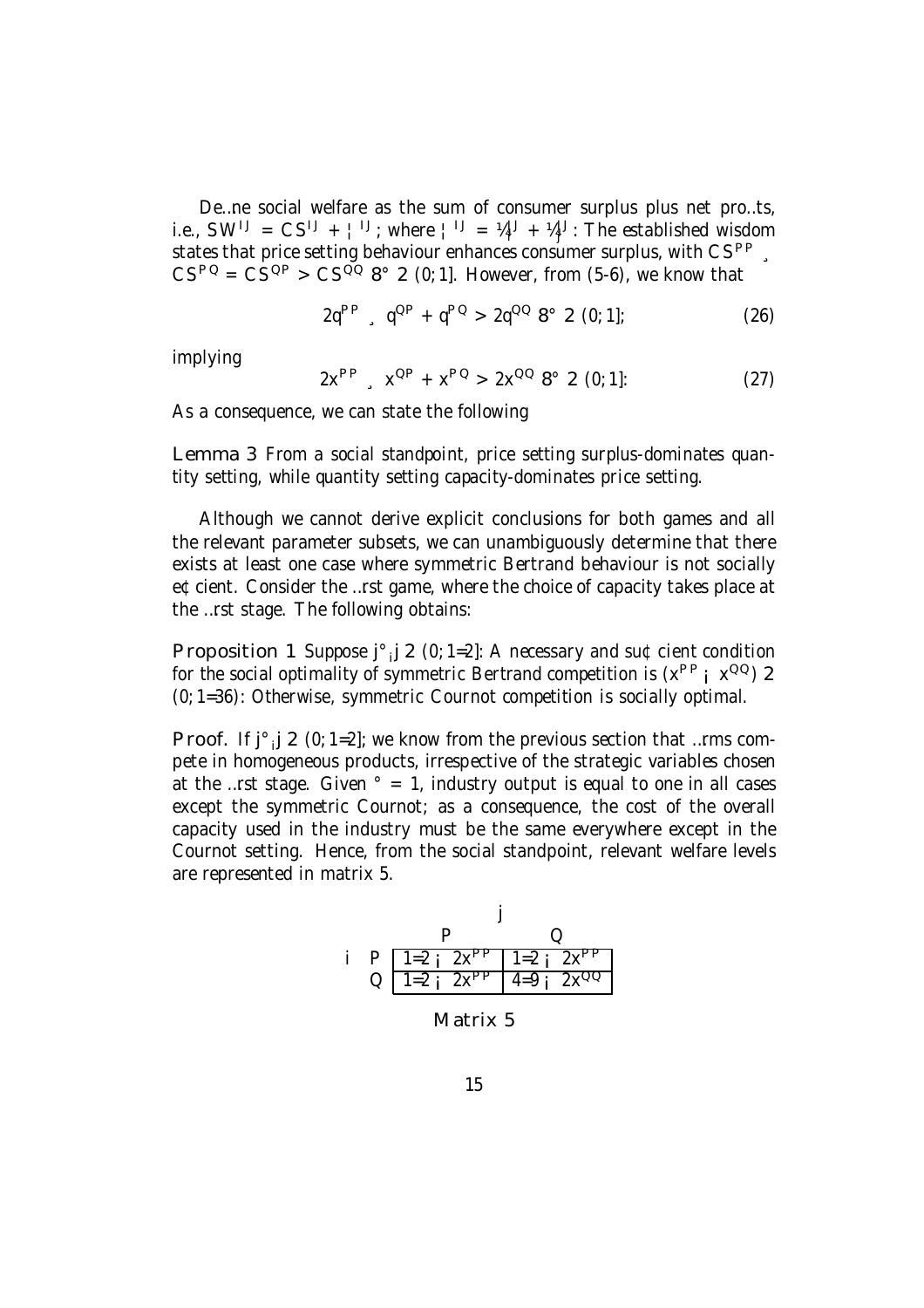De…ne social welfare as the sum of consumer surplus plus net pro…ts, i.e.,  $SW^{1J} = CS^{1J} + l^{1J}$ ; where  $l^{1J} = V^{1J} + V^{1J}$ : The established wisdom j states that price setting behaviour enhances consumer surplus, with  $\text{CS}^{\text{PP}}$ ,  $\text{CS}^{\text{PQ}} = \text{CS}^{\text{QP}} > \text{CS}^{\text{QQ}}$  8° 2 (0; 1]. However, from (5-6), we know that

$$
2q^{PP} , q^{QP} + q^{PQ} > 2q^{QQ} 8^{\circ} 2 (0; 1];
$$
 (26)

implying

$$
2x^{PP} , x^{QP} + x^{PQ} > 2x^{QQ} 8^{\circ} 2 (0; 1]: \qquad (27)
$$

As a consequence, we can state the following

Lemma 3 From a social standpoint, price setting surplus-dominates quantity setting, while quantity setting capacity-dominates price setting.

Although we cannot derive explicit conclusions for both games and all the relevant parameter subsets, we can unambiguously determine that there exists at least one case where symmetric Bertrand behaviour is not socially e¢cient. Consider the …rst game, where the choice of capacity takes place at the …rst stage. The following obtains:

Proposition 1 Suppose  $j^{\circ}$   $j$  2 (0; 1=2]: A necessary and su¢cient condition for the social optimality of symmetric Bertrand competition is  $(x^{PP} | x^{QQ})$  2 (0; 1=36): Otherwise, symmetric Cournot competition is socially optimal.

Proof. If  $j^{\circ}$   $j \geq (0; 1=2]$ ; we know from the previous section that ... rms compete in homogeneous products, irrespective of the strategic variables chosen at the …rst stage. Given  $\degree$  = 1, industry output is equal to one in all cases except the symmetric Cournot; as a consequence, the cost of the overall capacity used in the industry must be the same everywhere except in the Cournot setting. Hence, from the social standpoint, relevant welfare levels are represented in matrix 5.



Matrix 5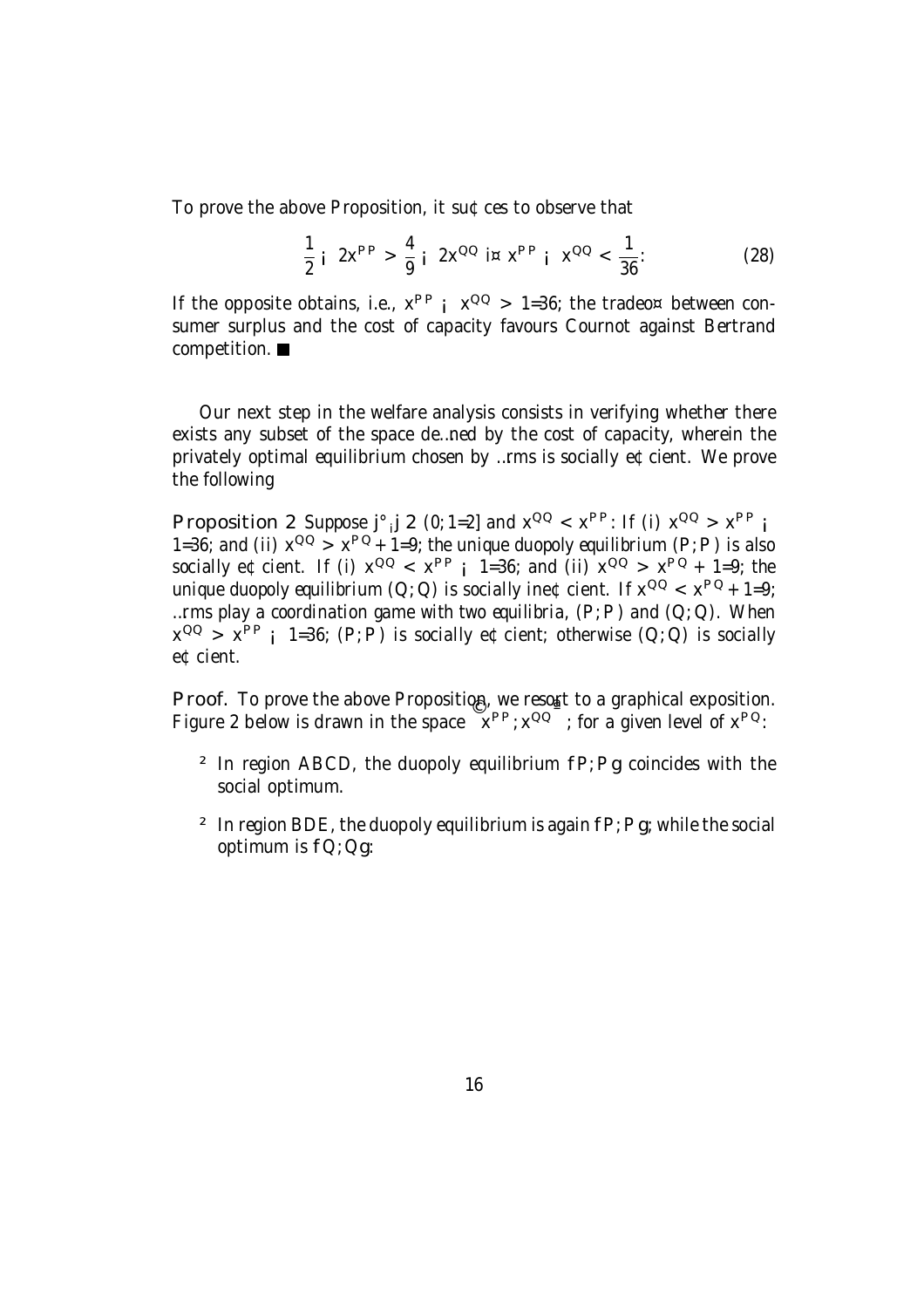To prove the above Proposition, it su¢ces to observe that

$$
\frac{1}{2} i \ 2x^{PP} > \frac{4}{9} i \ 2x^{QQ} i \times x^{PP} i \times^{QQ} < \frac{1}{36}.
$$
 (28)

If the opposite obtains, i.e.,  $x^{PP}$  ;  $x^{QQ}$  > 1=36; the tradeo¤ between consumer surplus and the cost of capacity favours Cournot against Bertrand competition.

Our next step in the welfare analysis consists in verifying whether there exists any subset of the space de…ned by the cost of capacity, wherein the privately optimal equilibrium chosen by …rms is socially e¢cient. We prove the following

Proposition 2 Suppose  $j^{\circ}$   $j \neq (0; 1=2]$  and  $x^{\Omega Q} < x^{\text{PP}}$ : If (i)  $x^{\Omega Q} > x^{\text{PP}}$  i 1=36; and (ii)  $x^{QQ} > x^{PQ} + 1=9$ ; the unique duopoly equilibrium (P; P) is also socially e¢cient. If (i)  $x^{QQ} < x^{PP}$  i 1=36; and (ii)  $x^{QQ} > x^{PQ} + 1=9$ ; the unique duopoly equilibrium (Q; Q) is socially ine¢cient. If  $x^{QQ} < x^{PQ} + 1=9$ ; ... rms play a coordination game with two equilibria,  $(P, P)$  and  $(Q, Q)$ . When  $x^{QQ}$  >  $x^{PP}$  i 1=36; (P; P) is socially e¢cient; otherwise (Q; Q) is socially e¢cient.

Proof. To prove the above Proposition, we resort to a graphical exposition. Figure 2 below is drawn in the space  $x^{PP}$ ;  $x^{QQ}$ ; for a given level of  $x^{PQ}$ .

- $2$  In region ABCD, the duopoly equilibrium  $fP$ ; Pg coincides with the social optimum.
- <sup>2</sup> In region BDE, the duopoly equilibrium is again  $fP$ ; Pg; while the social optimum is fQ;Qg: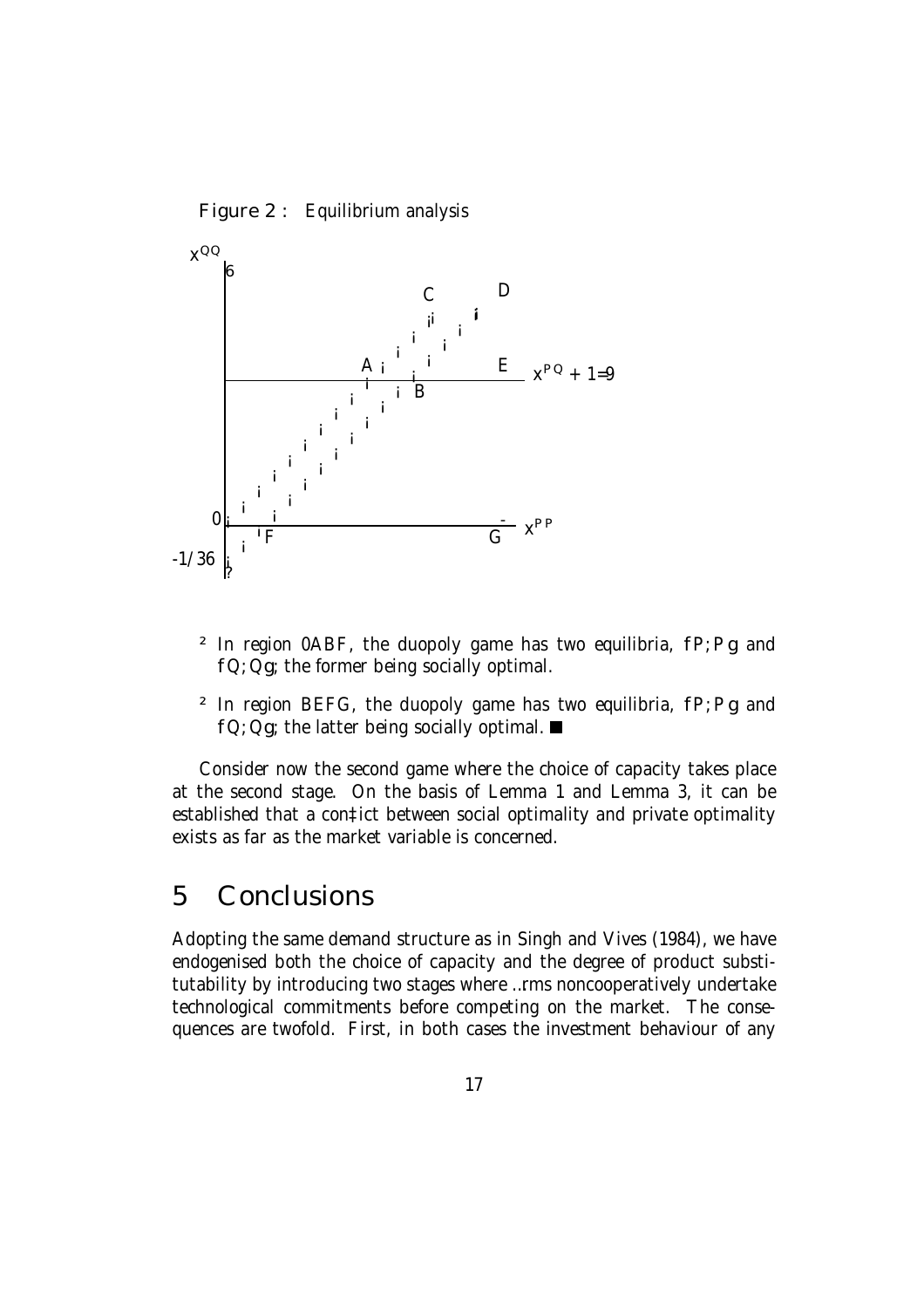



- $2$  In region 0ABF, the duopoly game has two equilibria,  $fP$ ; Pg and fQ; Qg; the former being socially optimal.
- $2$  In region BEFG, the duopoly game has two equilibria,  $fP$ ; Pg and  $fQ$ ; Qg; the latter being socially optimal.  $\blacksquare$

Consider now the second game where the choice of capacity takes place at the second stage. On the basis of Lemma 1 and Lemma 3, it can be established that a con‡ict between social optimality and private optimality exists as far as the market variable is concerned.

### 5 Conclusions

Adopting the same demand structure as in Singh and Vives (1984), we have endogenised both the choice of capacity and the degree of product substitutability by introducing two stages where …rms noncooperatively undertake technological commitments before competing on the market. The consequences are twofold. First, in both cases the investment behaviour of any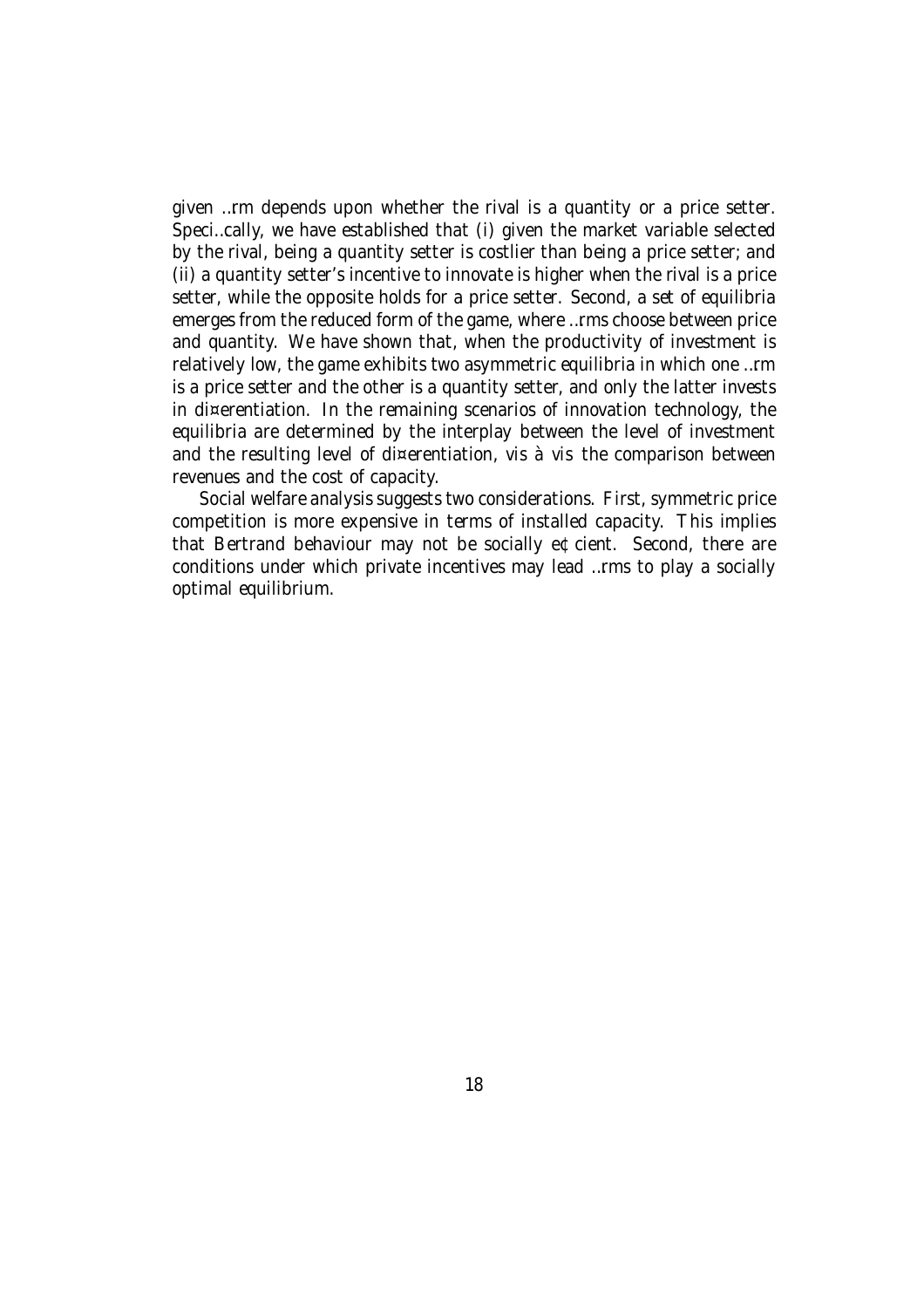given …rm depends upon whether the rival is a quantity or a price setter. Speci…cally, we have established that (i) given the market variable selected by the rival, being a quantity setter is costlier than being a price setter; and (ii) a quantity setter's incentive to innovate is higher when the rival is a price setter, while the opposite holds for a price setter. Second, a set of equilibria emerges from the reduced form of the game, where …rms choose between price and quantity. We have shown that, when the productivity of investment is relatively low, the game exhibits two asymmetric equilibria in which one …rm is a price setter and the other is a quantity setter, and only the latter invests in di¤erentiation. In the remaining scenarios of innovation technology, the equilibria are determined by the interplay between the level of investment and the resulting level of di¤erentiation, vis à vis the comparison between revenues and the cost of capacity.

Social welfare analysis suggests two considerations. First, symmetric price competition is more expensive in terms of installed capacity. This implies that Bertrand behaviour may not be socially e¢cient. Second, there are conditions under which private incentives may lead …rms to play a socially optimal equilibrium.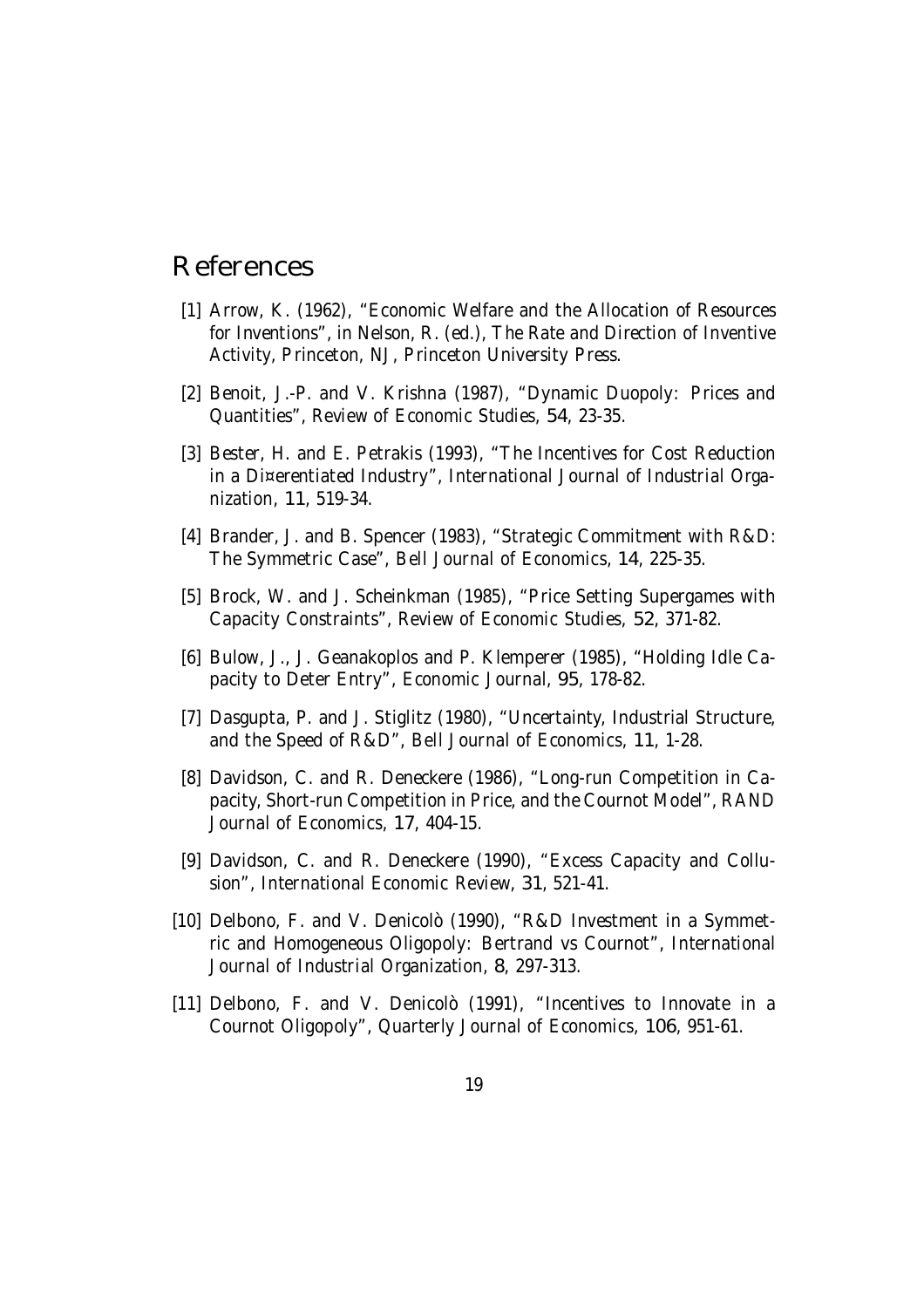### References

- [1] Arrow, K. (1962), "Economic Welfare and the Allocation of Resources for Inventions", in Nelson, R. (ed.), The Rate and Direction of Inventive Activity, Princeton, NJ, Princeton University Press.
- [2] Benoit, J.-P. and V. Krishna (1987), "Dynamic Duopoly: Prices and Quantities", Review of Economic Studies, 54, 23-35.
- [3] Bester, H. and E. Petrakis (1993), "The Incentives for Cost Reduction in a Di¤erentiated Industry", International Journal of Industrial Organization, 11, 519-34.
- [4] Brander, J. and B. Spencer (1983), "Strategic Commitment with R&D: The Symmetric Case", Bell Journal of Economics, 14, 225-35.
- [5] Brock, W. and J. Scheinkman (1985), "Price Setting Supergames with Capacity Constraints", Review of Economic Studies, 52, 371-82.
- [6] Bulow, J., J. Geanakoplos and P. Klemperer (1985), "Holding Idle Capacity to Deter Entry", Economic Journal, 95, 178-82.
- [7] Dasgupta, P. and J. Stiglitz (1980), "Uncertainty, Industrial Structure, and the Speed of R&D", Bell Journal of Economics, 11, 1-28.
- [8] Davidson, C. and R. Deneckere (1986), "Long-run Competition in Capacity, Short-run Competition in Price, and the Cournot Model", RAND Journal of Economics, 17, 404-15.
- [9] Davidson, C. and R. Deneckere (1990), "Excess Capacity and Collusion", International Economic Review, 31, 521-41.
- [10] Delbono, F. and V. Denicolò (1990), "R&D Investment in a Symmetric and Homogeneous Oligopoly: Bertrand vs Cournot", International Journal of Industrial Organization, 8, 297-313.
- [11] Delbono, F. and V. Denicolò (1991), "Incentives to Innovate in a Cournot Oligopoly", Quarterly Journal of Economics, 106, 951-61.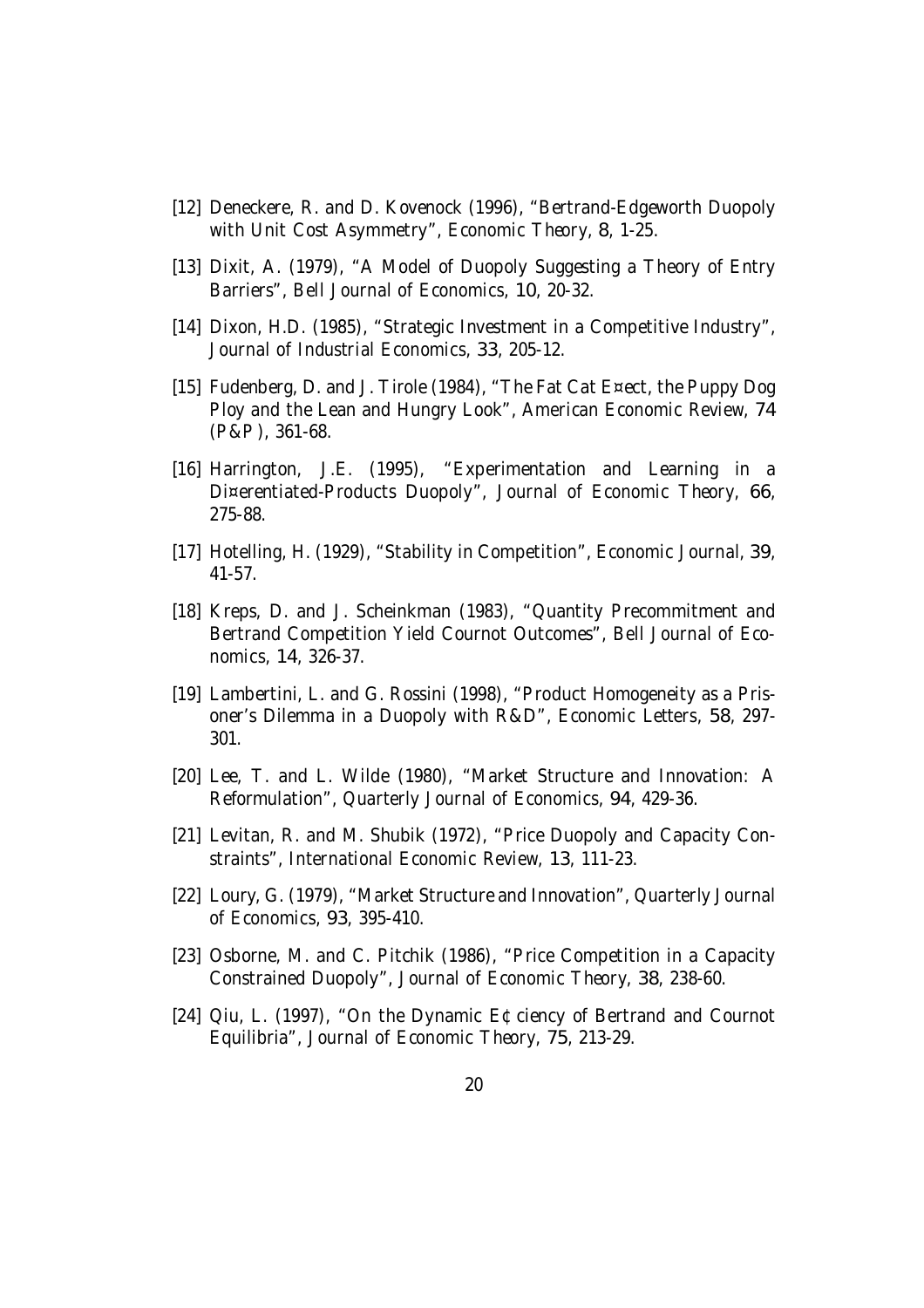- [12] Deneckere, R. and D. Kovenock (1996), "Bertrand-Edgeworth Duopoly with Unit Cost Asymmetry", Economic Theory, 8, 1-25.
- [13] Dixit, A. (1979), "A Model of Duopoly Suggesting a Theory of Entry Barriers", Bell Journal of Economics, 10, 20-32.
- [14] Dixon, H.D. (1985), "Strategic Investment in a Competitive Industry", Journal of Industrial Economics, 33, 205-12.
- [15] Fudenberg, D. and J. Tirole (1984), "The Fat Cat E¤ect, the Puppy Dog Ploy and the Lean and Hungry Look", American Economic Review, 74 (P&P), 361-68.
- [16] Harrington, J.E. (1995), "Experimentation and Learning in a Di¤erentiated-Products Duopoly", Journal of Economic Theory, 66, 275-88.
- [17] Hotelling, H. (1929), "Stability in Competition", Economic Journal, 39, 41-57.
- [18] Kreps, D. and J. Scheinkman (1983), "Quantity Precommitment and Bertrand Competition Yield Cournot Outcomes", Bell Journal of Economics, 14, 326-37.
- [19] Lambertini, L. and G. Rossini (1998), "Product Homogeneity as a Prisoner's Dilemma in a Duopoly with R&D", Economic Letters, 58, 297- 301.
- [20] Lee, T. and L. Wilde (1980), "Market Structure and Innovation: A Reformulation", Quarterly Journal of Economics, 94, 429-36.
- [21] Levitan, R. and M. Shubik (1972), "Price Duopoly and Capacity Constraints", International Economic Review, 13, 111-23.
- [22] Loury, G. (1979), "Market Structure and Innovation", Quarterly Journal of Economics, 93, 395-410.
- [23] Osborne, M. and C. Pitchik (1986), "Price Competition in a Capacity Constrained Duopoly", Journal of Economic Theory, 38, 238-60.
- [24] Qiu, L. (1997), "On the Dynamic E¢ciency of Bertrand and Cournot Equilibria", Journal of Economic Theory, 75, 213-29.